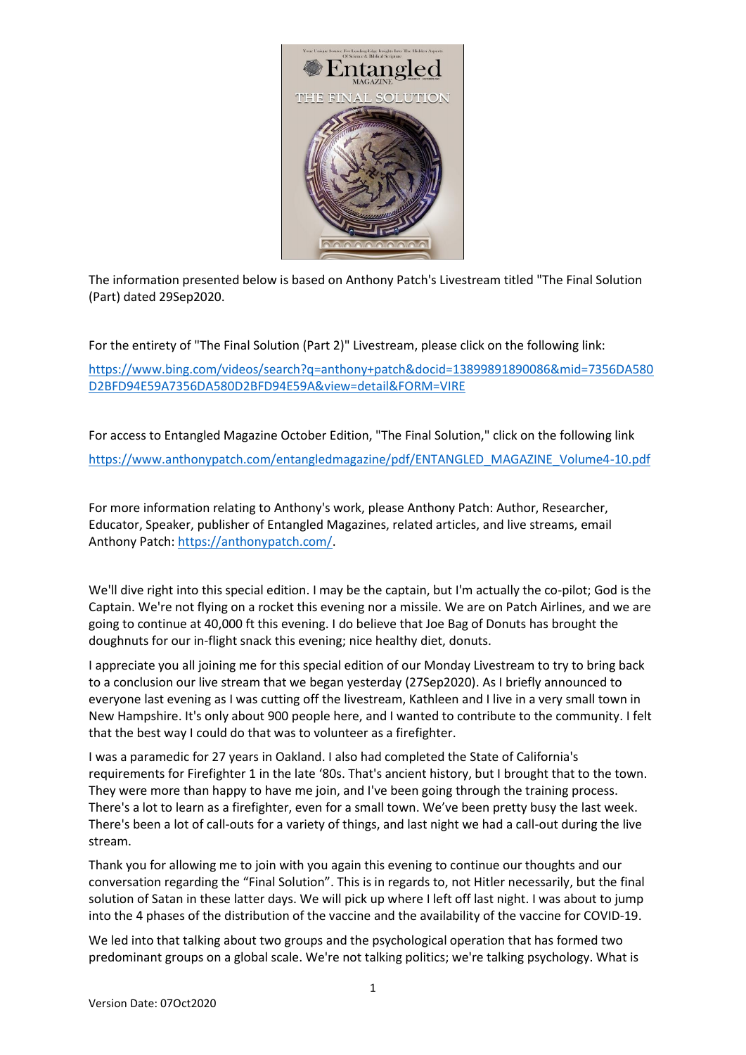

The information presented below is based on Anthony Patch's Livestream titled "The Final Solution (Part) dated 29Sep2020.

For the entirety of "The Final Solution (Part 2)" Livestream, please click on the following link:

[https://www.bing.com/videos/search?q=anthony+patch&docid=13899891890086&mid=7356DA580](https://www.bing.com/videos/search?q=anthony+patch&docid=13899891890086&mid=7356DA580D2BFD94E59A7356DA580D2BFD94E59A&view=detail&FORM=VIRE) [D2BFD94E59A7356DA580D2BFD94E59A&view=detail&FORM=VIRE](https://www.bing.com/videos/search?q=anthony+patch&docid=13899891890086&mid=7356DA580D2BFD94E59A7356DA580D2BFD94E59A&view=detail&FORM=VIRE)

For access to Entangled Magazine October Edition, "The Final Solution," click on the following link [https://www.anthonypatch.com/entangledmagazine/pdf/ENTANGLED\\_MAGAZINE\\_Volume4-10.pdf](https://www.anthonypatch.com/entangledmagazine/pdf/ENTANGLED_MAGAZINE_Volume4-10.pdf)

For more information relating to Anthony's work, please Anthony Patch: Author, Researcher, Educator, Speaker, publisher of Entangled Magazines, related articles, and live streams, email Anthony Patch: [https://anthonypatch.com/.](https://anthonypatch.com/)

We'll dive right into this special edition. I may be the captain, but I'm actually the co-pilot; God is the Captain. We're not flying on a rocket this evening nor a missile. We are on Patch Airlines, and we are going to continue at 40,000 ft this evening. I do believe that Joe Bag of Donuts has brought the doughnuts for our in-flight snack this evening; nice healthy diet, donuts.

I appreciate you all joining me for this special edition of our Monday Livestream to try to bring back to a conclusion our live stream that we began yesterday (27Sep2020). As I briefly announced to everyone last evening as I was cutting off the livestream, Kathleen and I live in a very small town in New Hampshire. It's only about 900 people here, and I wanted to contribute to the community. I felt that the best way I could do that was to volunteer as a firefighter.

I was a paramedic for 27 years in Oakland. I also had completed the State of California's requirements for Firefighter 1 in the late '80s. That's ancient history, but I brought that to the town. They were more than happy to have me join, and I've been going through the training process. There's a lot to learn as a firefighter, even for a small town. We've been pretty busy the last week. There's been a lot of call-outs for a variety of things, and last night we had a call-out during the live stream.

Thank you for allowing me to join with you again this evening to continue our thoughts and our conversation regarding the "Final Solution". This is in regards to, not Hitler necessarily, but the final solution of Satan in these latter days. We will pick up where I left off last night. I was about to jump into the 4 phases of the distribution of the vaccine and the availability of the vaccine for COVID-19.

We led into that talking about two groups and the psychological operation that has formed two predominant groups on a global scale. We're not talking politics; we're talking psychology. What is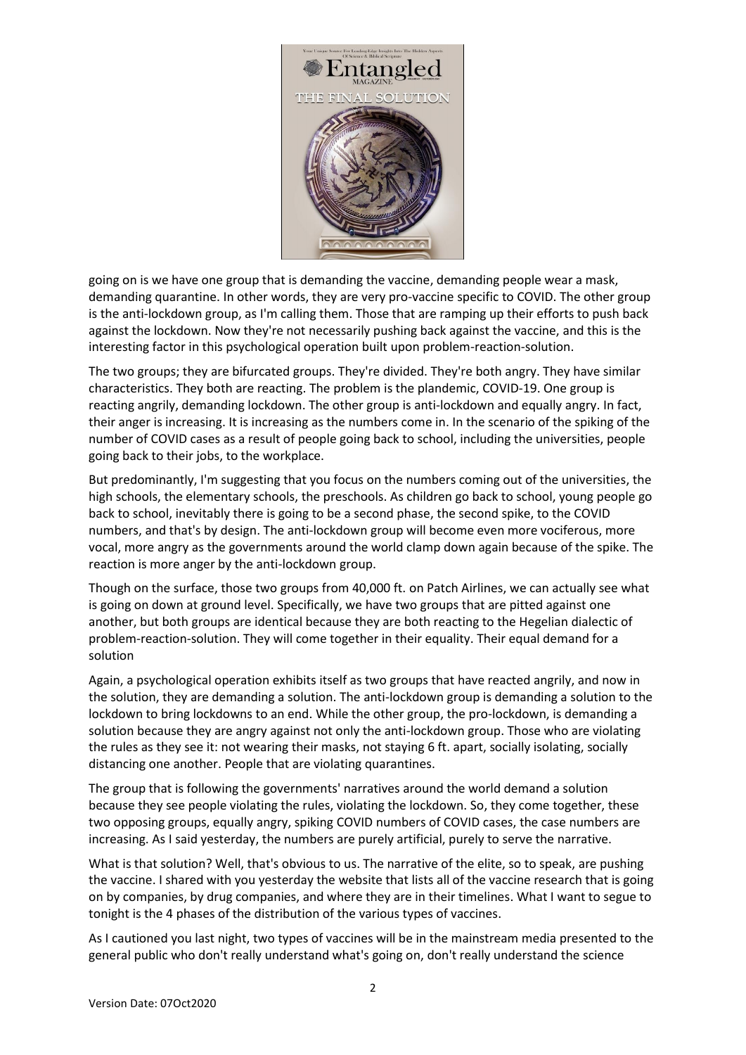

going on is we have one group that is demanding the vaccine, demanding people wear a mask, demanding quarantine. In other words, they are very pro-vaccine specific to COVID. The other group is the anti-lockdown group, as I'm calling them. Those that are ramping up their efforts to push back against the lockdown. Now they're not necessarily pushing back against the vaccine, and this is the interesting factor in this psychological operation built upon problem-reaction-solution.

The two groups; they are bifurcated groups. They're divided. They're both angry. They have similar characteristics. They both are reacting. The problem is the plandemic, COVID-19. One group is reacting angrily, demanding lockdown. The other group is anti-lockdown and equally angry. In fact, their anger is increasing. It is increasing as the numbers come in. In the scenario of the spiking of the number of COVID cases as a result of people going back to school, including the universities, people going back to their jobs, to the workplace.

But predominantly, I'm suggesting that you focus on the numbers coming out of the universities, the high schools, the elementary schools, the preschools. As children go back to school, young people go back to school, inevitably there is going to be a second phase, the second spike, to the COVID numbers, and that's by design. The anti-lockdown group will become even more vociferous, more vocal, more angry as the governments around the world clamp down again because of the spike. The reaction is more anger by the anti-lockdown group.

Though on the surface, those two groups from 40,000 ft. on Patch Airlines, we can actually see what is going on down at ground level. Specifically, we have two groups that are pitted against one another, but both groups are identical because they are both reacting to the Hegelian dialectic of problem-reaction-solution. They will come together in their equality. Their equal demand for a solution

Again, a psychological operation exhibits itself as two groups that have reacted angrily, and now in the solution, they are demanding a solution. The anti-lockdown group is demanding a solution to the lockdown to bring lockdowns to an end. While the other group, the pro-lockdown, is demanding a solution because they are angry against not only the anti-lockdown group. Those who are violating the rules as they see it: not wearing their masks, not staying 6 ft. apart, socially isolating, socially distancing one another. People that are violating quarantines.

The group that is following the governments' narratives around the world demand a solution because they see people violating the rules, violating the lockdown. So, they come together, these two opposing groups, equally angry, spiking COVID numbers of COVID cases, the case numbers are increasing. As I said yesterday, the numbers are purely artificial, purely to serve the narrative.

What is that solution? Well, that's obvious to us. The narrative of the elite, so to speak, are pushing the vaccine. I shared with you yesterday the website that lists all of the vaccine research that is going on by companies, by drug companies, and where they are in their timelines. What I want to segue to tonight is the 4 phases of the distribution of the various types of vaccines.

As I cautioned you last night, two types of vaccines will be in the mainstream media presented to the general public who don't really understand what's going on, don't really understand the science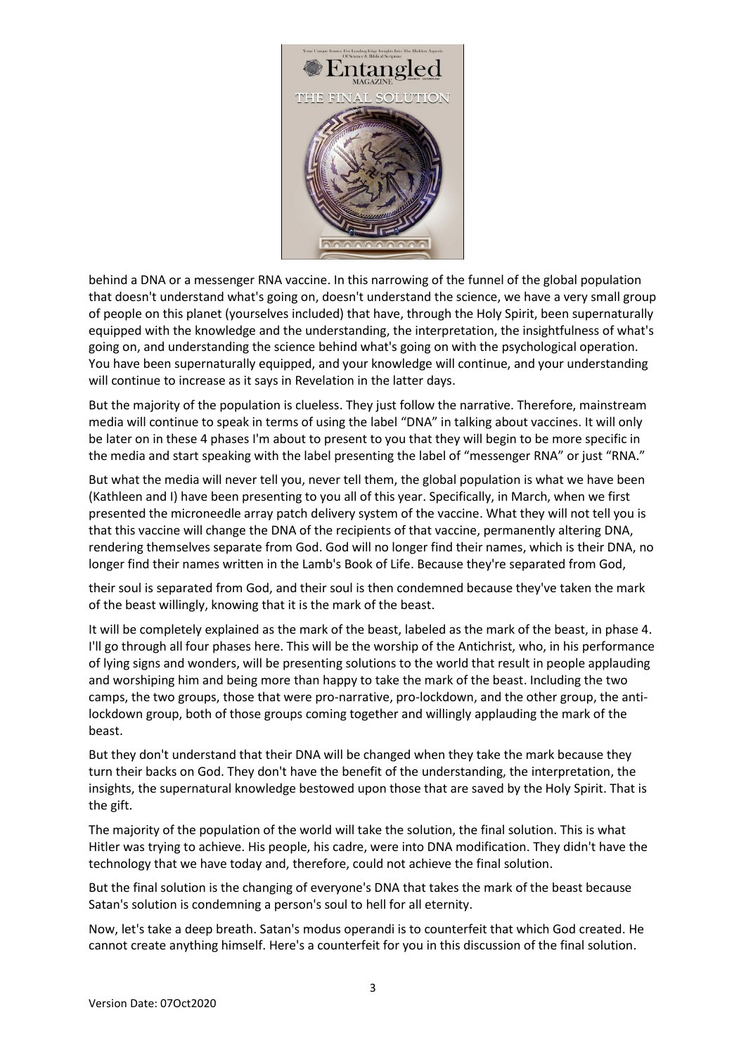

behind a DNA or a messenger RNA vaccine. In this narrowing of the funnel of the global population that doesn't understand what's going on, doesn't understand the science, we have a very small group of people on this planet (yourselves included) that have, through the Holy Spirit, been supernaturally equipped with the knowledge and the understanding, the interpretation, the insightfulness of what's going on, and understanding the science behind what's going on with the psychological operation. You have been supernaturally equipped, and your knowledge will continue, and your understanding will continue to increase as it says in Revelation in the latter days.

But the majority of the population is clueless. They just follow the narrative. Therefore, mainstream media will continue to speak in terms of using the label "DNA" in talking about vaccines. It will only be later on in these 4 phases I'm about to present to you that they will begin to be more specific in the media and start speaking with the label presenting the label of "messenger RNA" or just "RNA."

But what the media will never tell you, never tell them, the global population is what we have been (Kathleen and I) have been presenting to you all of this year. Specifically, in March, when we first presented the microneedle array patch delivery system of the vaccine. What they will not tell you is that this vaccine will change the DNA of the recipients of that vaccine, permanently altering DNA, rendering themselves separate from God. God will no longer find their names, which is their DNA, no longer find their names written in the Lamb's Book of Life. Because they're separated from God,

their soul is separated from God, and their soul is then condemned because they've taken the mark of the beast willingly, knowing that it is the mark of the beast.

It will be completely explained as the mark of the beast, labeled as the mark of the beast, in phase 4. I'll go through all four phases here. This will be the worship of the Antichrist, who, in his performance of lying signs and wonders, will be presenting solutions to the world that result in people applauding and worshiping him and being more than happy to take the mark of the beast. Including the two camps, the two groups, those that were pro-narrative, pro-lockdown, and the other group, the antilockdown group, both of those groups coming together and willingly applauding the mark of the beast.

But they don't understand that their DNA will be changed when they take the mark because they turn their backs on God. They don't have the benefit of the understanding, the interpretation, the insights, the supernatural knowledge bestowed upon those that are saved by the Holy Spirit. That is the gift.

The majority of the population of the world will take the solution, the final solution. This is what Hitler was trying to achieve. His people, his cadre, were into DNA modification. They didn't have the technology that we have today and, therefore, could not achieve the final solution.

But the final solution is the changing of everyone's DNA that takes the mark of the beast because Satan's solution is condemning a person's soul to hell for all eternity.

Now, let's take a deep breath. Satan's modus operandi is to counterfeit that which God created. He cannot create anything himself. Here's a counterfeit for you in this discussion of the final solution.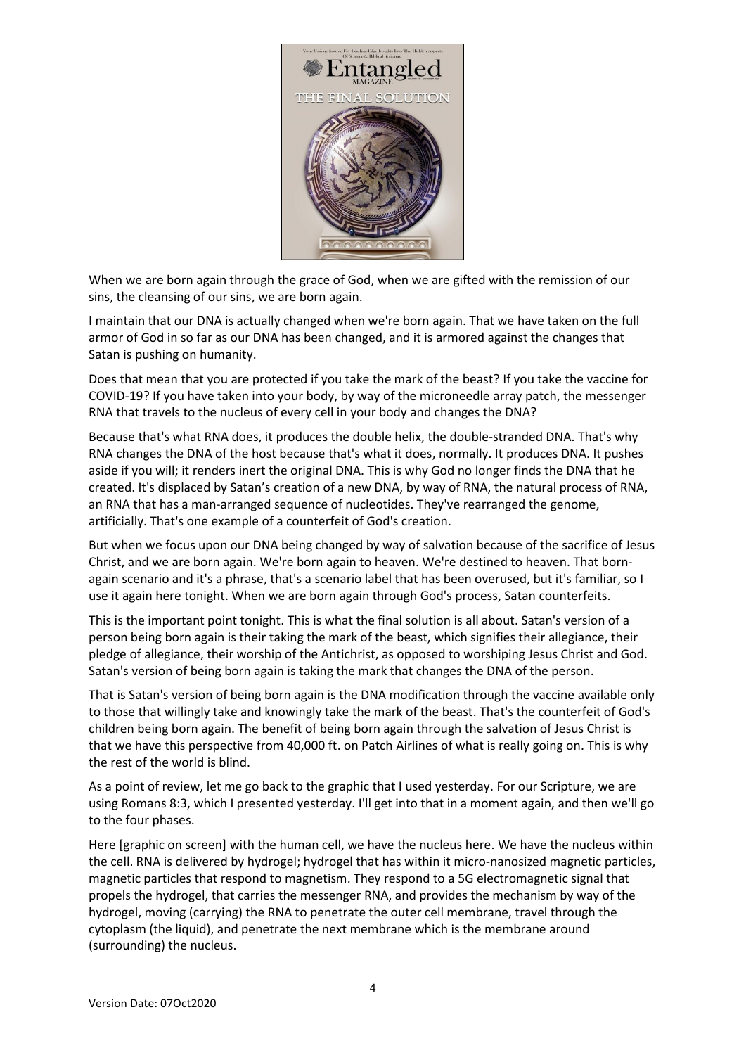

When we are born again through the grace of God, when we are gifted with the remission of our sins, the cleansing of our sins, we are born again.

I maintain that our DNA is actually changed when we're born again. That we have taken on the full armor of God in so far as our DNA has been changed, and it is armored against the changes that Satan is pushing on humanity.

Does that mean that you are protected if you take the mark of the beast? If you take the vaccine for COVID-19? If you have taken into your body, by way of the microneedle array patch, the messenger RNA that travels to the nucleus of every cell in your body and changes the DNA?

Because that's what RNA does, it produces the double helix, the double-stranded DNA. That's why RNA changes the DNA of the host because that's what it does, normally. It produces DNA. It pushes aside if you will; it renders inert the original DNA. This is why God no longer finds the DNA that he created. It's displaced by Satan's creation of a new DNA, by way of RNA, the natural process of RNA, an RNA that has a man-arranged sequence of nucleotides. They've rearranged the genome, artificially. That's one example of a counterfeit of God's creation.

But when we focus upon our DNA being changed by way of salvation because of the sacrifice of Jesus Christ, and we are born again. We're born again to heaven. We're destined to heaven. That bornagain scenario and it's a phrase, that's a scenario label that has been overused, but it's familiar, so I use it again here tonight. When we are born again through God's process, Satan counterfeits.

This is the important point tonight. This is what the final solution is all about. Satan's version of a person being born again is their taking the mark of the beast, which signifies their allegiance, their pledge of allegiance, their worship of the Antichrist, as opposed to worshiping Jesus Christ and God. Satan's version of being born again is taking the mark that changes the DNA of the person.

That is Satan's version of being born again is the DNA modification through the vaccine available only to those that willingly take and knowingly take the mark of the beast. That's the counterfeit of God's children being born again. The benefit of being born again through the salvation of Jesus Christ is that we have this perspective from 40,000 ft. on Patch Airlines of what is really going on. This is why the rest of the world is blind.

As a point of review, let me go back to the graphic that I used yesterday. For our Scripture, we are using Romans 8:3, which I presented yesterday. I'll get into that in a moment again, and then we'll go to the four phases.

Here [graphic on screen] with the human cell, we have the nucleus here. We have the nucleus within the cell. RNA is delivered by hydrogel; hydrogel that has within it micro-nanosized magnetic particles, magnetic particles that respond to magnetism. They respond to a 5G electromagnetic signal that propels the hydrogel, that carries the messenger RNA, and provides the mechanism by way of the hydrogel, moving (carrying) the RNA to penetrate the outer cell membrane, travel through the cytoplasm (the liquid), and penetrate the next membrane which is the membrane around (surrounding) the nucleus.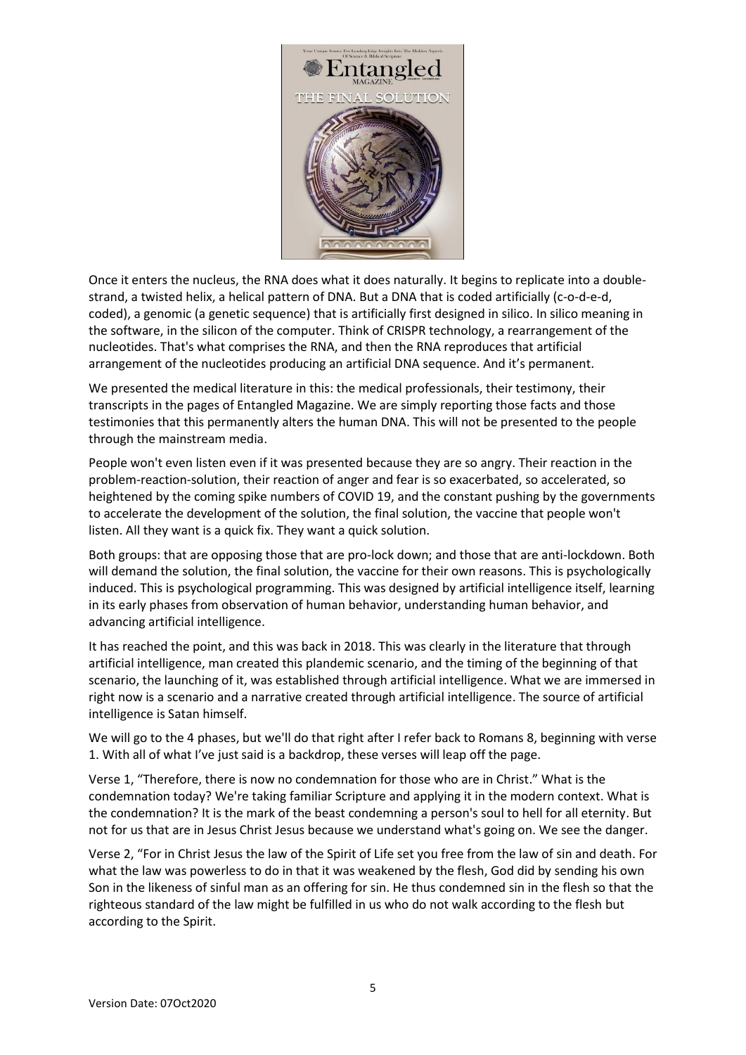

Once it enters the nucleus, the RNA does what it does naturally. It begins to replicate into a doublestrand, a twisted helix, a helical pattern of DNA. But a DNA that is coded artificially (c-o-d-e-d, coded), a genomic (a genetic sequence) that is artificially first designed in silico. In silico meaning in the software, in the silicon of the computer. Think of CRISPR technology, a rearrangement of the nucleotides. That's what comprises the RNA, and then the RNA reproduces that artificial arrangement of the nucleotides producing an artificial DNA sequence. And it's permanent.

We presented the medical literature in this: the medical professionals, their testimony, their transcripts in the pages of Entangled Magazine. We are simply reporting those facts and those testimonies that this permanently alters the human DNA. This will not be presented to the people through the mainstream media.

People won't even listen even if it was presented because they are so angry. Their reaction in the problem-reaction-solution, their reaction of anger and fear is so exacerbated, so accelerated, so heightened by the coming spike numbers of COVID 19, and the constant pushing by the governments to accelerate the development of the solution, the final solution, the vaccine that people won't listen. All they want is a quick fix. They want a quick solution.

Both groups: that are opposing those that are pro-lock down; and those that are anti-lockdown. Both will demand the solution, the final solution, the vaccine for their own reasons. This is psychologically induced. This is psychological programming. This was designed by artificial intelligence itself, learning in its early phases from observation of human behavior, understanding human behavior, and advancing artificial intelligence.

It has reached the point, and this was back in 2018. This was clearly in the literature that through artificial intelligence, man created this plandemic scenario, and the timing of the beginning of that scenario, the launching of it, was established through artificial intelligence. What we are immersed in right now is a scenario and a narrative created through artificial intelligence. The source of artificial intelligence is Satan himself.

We will go to the 4 phases, but we'll do that right after I refer back to Romans 8, beginning with verse 1. With all of what I've just said is a backdrop, these verses will leap off the page.

Verse 1, "Therefore, there is now no condemnation for those who are in Christ." What is the condemnation today? We're taking familiar Scripture and applying it in the modern context. What is the condemnation? It is the mark of the beast condemning a person's soul to hell for all eternity. But not for us that are in Jesus Christ Jesus because we understand what's going on. We see the danger.

Verse 2, "For in Christ Jesus the law of the Spirit of Life set you free from the law of sin and death. For what the law was powerless to do in that it was weakened by the flesh, God did by sending his own Son in the likeness of sinful man as an offering for sin. He thus condemned sin in the flesh so that the righteous standard of the law might be fulfilled in us who do not walk according to the flesh but according to the Spirit.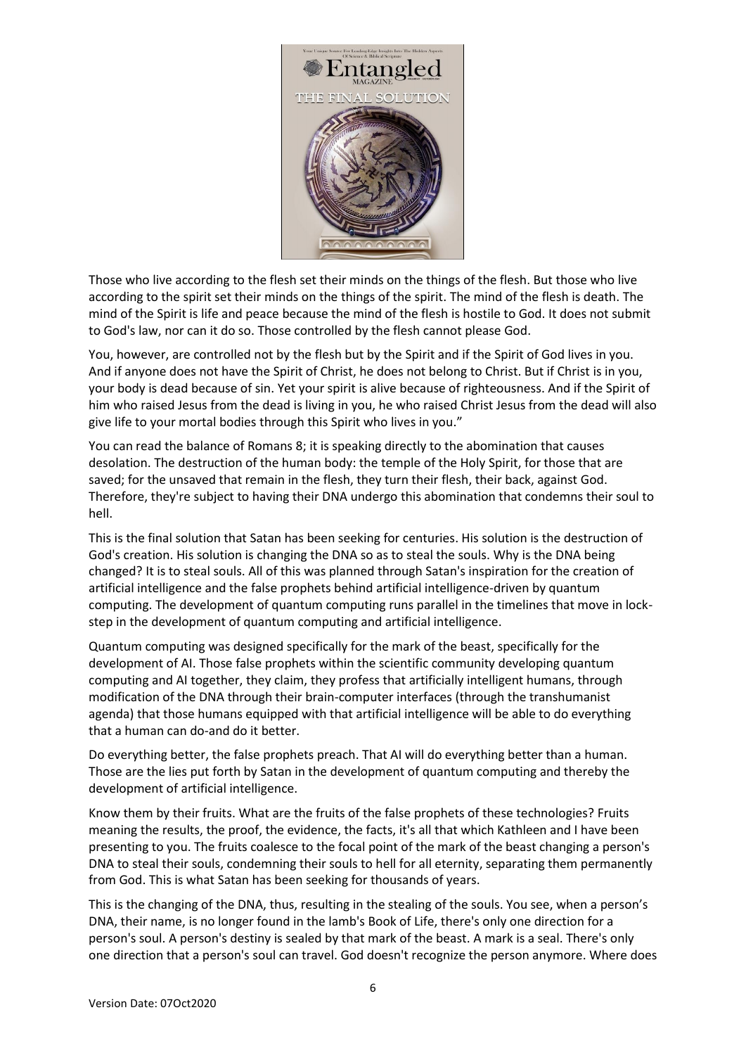

Those who live according to the flesh set their minds on the things of the flesh. But those who live according to the spirit set their minds on the things of the spirit. The mind of the flesh is death. The mind of the Spirit is life and peace because the mind of the flesh is hostile to God. It does not submit to God's law, nor can it do so. Those controlled by the flesh cannot please God.

You, however, are controlled not by the flesh but by the Spirit and if the Spirit of God lives in you. And if anyone does not have the Spirit of Christ, he does not belong to Christ. But if Christ is in you, your body is dead because of sin. Yet your spirit is alive because of righteousness. And if the Spirit of him who raised Jesus from the dead is living in you, he who raised Christ Jesus from the dead will also give life to your mortal bodies through this Spirit who lives in you."

You can read the balance of Romans 8; it is speaking directly to the abomination that causes desolation. The destruction of the human body: the temple of the Holy Spirit, for those that are saved; for the unsaved that remain in the flesh, they turn their flesh, their back, against God. Therefore, they're subject to having their DNA undergo this abomination that condemns their soul to hell.

This is the final solution that Satan has been seeking for centuries. His solution is the destruction of God's creation. His solution is changing the DNA so as to steal the souls. Why is the DNA being changed? It is to steal souls. All of this was planned through Satan's inspiration for the creation of artificial intelligence and the false prophets behind artificial intelligence-driven by quantum computing. The development of quantum computing runs parallel in the timelines that move in lockstep in the development of quantum computing and artificial intelligence.

Quantum computing was designed specifically for the mark of the beast, specifically for the development of AI. Those false prophets within the scientific community developing quantum computing and AI together, they claim, they profess that artificially intelligent humans, through modification of the DNA through their brain-computer interfaces (through the transhumanist agenda) that those humans equipped with that artificial intelligence will be able to do everything that a human can do-and do it better.

Do everything better, the false prophets preach. That AI will do everything better than a human. Those are the lies put forth by Satan in the development of quantum computing and thereby the development of artificial intelligence.

Know them by their fruits. What are the fruits of the false prophets of these technologies? Fruits meaning the results, the proof, the evidence, the facts, it's all that which Kathleen and I have been presenting to you. The fruits coalesce to the focal point of the mark of the beast changing a person's DNA to steal their souls, condemning their souls to hell for all eternity, separating them permanently from God. This is what Satan has been seeking for thousands of years.

This is the changing of the DNA, thus, resulting in the stealing of the souls. You see, when a person's DNA, their name, is no longer found in the lamb's Book of Life, there's only one direction for a person's soul. A person's destiny is sealed by that mark of the beast. A mark is a seal. There's only one direction that a person's soul can travel. God doesn't recognize the person anymore. Where does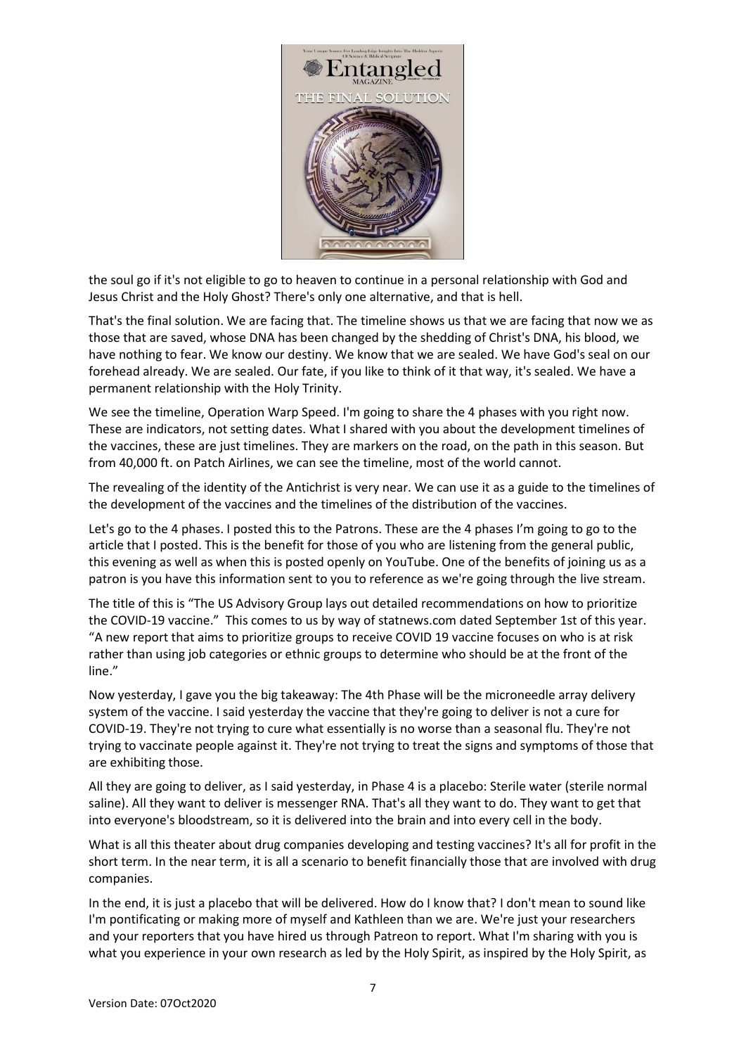

the soul go if it's not eligible to go to heaven to continue in a personal relationship with God and Jesus Christ and the Holy Ghost? There's only one alternative, and that is hell.

That's the final solution. We are facing that. The timeline shows us that we are facing that now we as those that are saved, whose DNA has been changed by the shedding of Christ's DNA, his blood, we have nothing to fear. We know our destiny. We know that we are sealed. We have God's seal on our forehead already. We are sealed. Our fate, if you like to think of it that way, it's sealed. We have a permanent relationship with the Holy Trinity.

We see the timeline, Operation Warp Speed. I'm going to share the 4 phases with you right now. These are indicators, not setting dates. What I shared with you about the development timelines of the vaccines, these are just timelines. They are markers on the road, on the path in this season. But from 40,000 ft. on Patch Airlines, we can see the timeline, most of the world cannot.

The revealing of the identity of the Antichrist is very near. We can use it as a guide to the timelines of the development of the vaccines and the timelines of the distribution of the vaccines.

Let's go to the 4 phases. I posted this to the Patrons. These are the 4 phases I'm going to go to the article that I posted. This is the benefit for those of you who are listening from the general public, this evening as well as when this is posted openly on YouTube. One of the benefits of joining us as a patron is you have this information sent to you to reference as we're going through the live stream.

The title of this is "The US Advisory Group lays out detailed recommendations on how to prioritize the COVID-19 vaccine." This comes to us by way of statnews.com dated September 1st of this year. "A new report that aims to prioritize groups to receive COVID 19 vaccine focuses on who is at risk rather than using job categories or ethnic groups to determine who should be at the front of the line."

Now yesterday, I gave you the big takeaway: The 4th Phase will be the microneedle array delivery system of the vaccine. I said yesterday the vaccine that they're going to deliver is not a cure for COVID-19. They're not trying to cure what essentially is no worse than a seasonal flu. They're not trying to vaccinate people against it. They're not trying to treat the signs and symptoms of those that are exhibiting those.

All they are going to deliver, as I said yesterday, in Phase 4 is a placebo: Sterile water (sterile normal saline). All they want to deliver is messenger RNA. That's all they want to do. They want to get that into everyone's bloodstream, so it is delivered into the brain and into every cell in the body.

What is all this theater about drug companies developing and testing vaccines? It's all for profit in the short term. In the near term, it is all a scenario to benefit financially those that are involved with drug companies.

In the end, it is just a placebo that will be delivered. How do I know that? I don't mean to sound like I'm pontificating or making more of myself and Kathleen than we are. We're just your researchers and your reporters that you have hired us through Patreon to report. What I'm sharing with you is what you experience in your own research as led by the Holy Spirit, as inspired by the Holy Spirit, as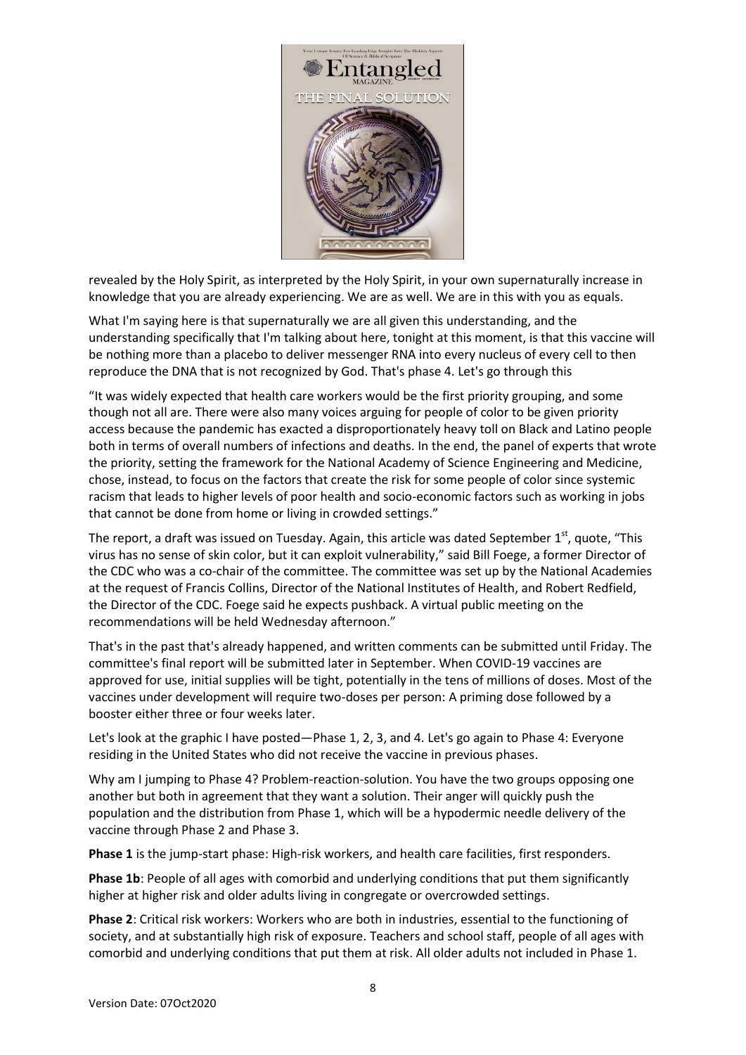

revealed by the Holy Spirit, as interpreted by the Holy Spirit, in your own supernaturally increase in knowledge that you are already experiencing. We are as well. We are in this with you as equals.

What I'm saying here is that supernaturally we are all given this understanding, and the understanding specifically that I'm talking about here, tonight at this moment, is that this vaccine will be nothing more than a placebo to deliver messenger RNA into every nucleus of every cell to then reproduce the DNA that is not recognized by God. That's phase 4. Let's go through this

"It was widely expected that health care workers would be the first priority grouping, and some though not all are. There were also many voices arguing for people of color to be given priority access because the pandemic has exacted a disproportionately heavy toll on Black and Latino people both in terms of overall numbers of infections and deaths. In the end, the panel of experts that wrote the priority, setting the framework for the National Academy of Science Engineering and Medicine, chose, instead, to focus on the factors that create the risk for some people of color since systemic racism that leads to higher levels of poor health and socio-economic factors such as working in jobs that cannot be done from home or living in crowded settings."

The report, a draft was issued on Tuesday. Again, this article was dated September  $1^{\text{st}}$ , quote, "This virus has no sense of skin color, but it can exploit vulnerability," said Bill Foege, a former Director of the CDC who was a co-chair of the committee. The committee was set up by the National Academies at the request of Francis Collins, Director of the National Institutes of Health, and Robert Redfield, the Director of the CDC. Foege said he expects pushback. A virtual public meeting on the recommendations will be held Wednesday afternoon."

That's in the past that's already happened, and written comments can be submitted until Friday. The committee's final report will be submitted later in September. When COVID-19 vaccines are approved for use, initial supplies will be tight, potentially in the tens of millions of doses. Most of the vaccines under development will require two-doses per person: A priming dose followed by a booster either three or four weeks later.

Let's look at the graphic I have posted—Phase 1, 2, 3, and 4. Let's go again to Phase 4: Everyone residing in the United States who did not receive the vaccine in previous phases.

Why am I jumping to Phase 4? Problem-reaction-solution. You have the two groups opposing one another but both in agreement that they want a solution. Their anger will quickly push the population and the distribution from Phase 1, which will be a hypodermic needle delivery of the vaccine through Phase 2 and Phase 3.

**Phase 1** is the jump-start phase: High-risk workers, and health care facilities, first responders.

**Phase 1b:** People of all ages with comorbid and underlying conditions that put them significantly higher at higher risk and older adults living in congregate or overcrowded settings.

**Phase 2**: Critical risk workers: Workers who are both in industries, essential to the functioning of society, and at substantially high risk of exposure. Teachers and school staff, people of all ages with comorbid and underlying conditions that put them at risk. All older adults not included in Phase 1.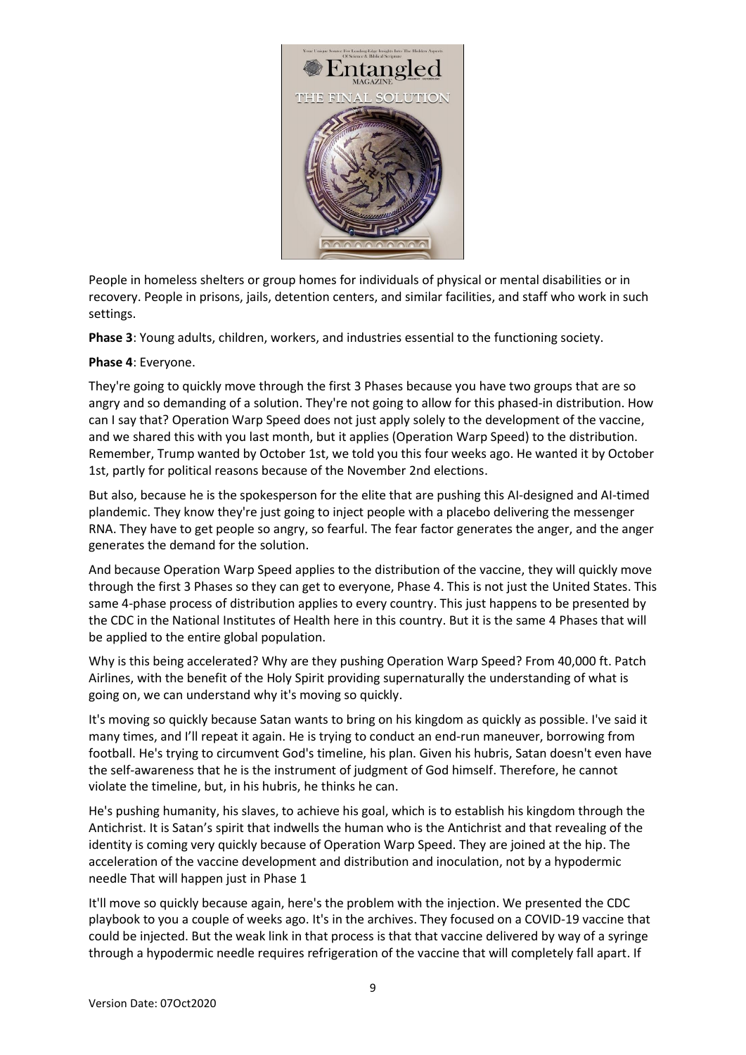

People in homeless shelters or group homes for individuals of physical or mental disabilities or in recovery. People in prisons, jails, detention centers, and similar facilities, and staff who work in such settings.

**Phase 3**: Young adults, children, workers, and industries essential to the functioning society.

## **Phase 4**: Everyone.

They're going to quickly move through the first 3 Phases because you have two groups that are so angry and so demanding of a solution. They're not going to allow for this phased-in distribution. How can I say that? Operation Warp Speed does not just apply solely to the development of the vaccine, and we shared this with you last month, but it applies (Operation Warp Speed) to the distribution. Remember, Trump wanted by October 1st, we told you this four weeks ago. He wanted it by October 1st, partly for political reasons because of the November 2nd elections.

But also, because he is the spokesperson for the elite that are pushing this AI-designed and AI-timed plandemic. They know they're just going to inject people with a placebo delivering the messenger RNA. They have to get people so angry, so fearful. The fear factor generates the anger, and the anger generates the demand for the solution.

And because Operation Warp Speed applies to the distribution of the vaccine, they will quickly move through the first 3 Phases so they can get to everyone, Phase 4. This is not just the United States. This same 4-phase process of distribution applies to every country. This just happens to be presented by the CDC in the National Institutes of Health here in this country. But it is the same 4 Phases that will be applied to the entire global population.

Why is this being accelerated? Why are they pushing Operation Warp Speed? From 40,000 ft. Patch Airlines, with the benefit of the Holy Spirit providing supernaturally the understanding of what is going on, we can understand why it's moving so quickly.

It's moving so quickly because Satan wants to bring on his kingdom as quickly as possible. I've said it many times, and I'll repeat it again. He is trying to conduct an end-run maneuver, borrowing from football. He's trying to circumvent God's timeline, his plan. Given his hubris, Satan doesn't even have the self-awareness that he is the instrument of judgment of God himself. Therefore, he cannot violate the timeline, but, in his hubris, he thinks he can.

He's pushing humanity, his slaves, to achieve his goal, which is to establish his kingdom through the Antichrist. It is Satan's spirit that indwells the human who is the Antichrist and that revealing of the identity is coming very quickly because of Operation Warp Speed. They are joined at the hip. The acceleration of the vaccine development and distribution and inoculation, not by a hypodermic needle That will happen just in Phase 1

It'll move so quickly because again, here's the problem with the injection. We presented the CDC playbook to you a couple of weeks ago. It's in the archives. They focused on a COVID-19 vaccine that could be injected. But the weak link in that process is that that vaccine delivered by way of a syringe through a hypodermic needle requires refrigeration of the vaccine that will completely fall apart. If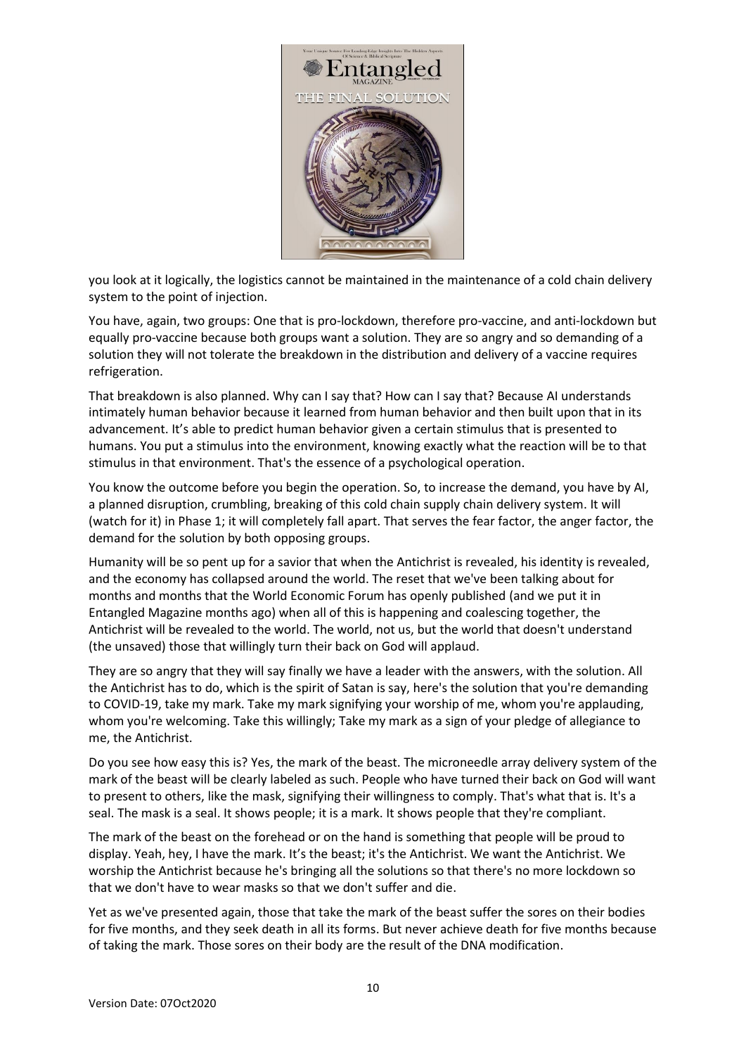

you look at it logically, the logistics cannot be maintained in the maintenance of a cold chain delivery system to the point of injection.

You have, again, two groups: One that is pro-lockdown, therefore pro-vaccine, and anti-lockdown but equally pro-vaccine because both groups want a solution. They are so angry and so demanding of a solution they will not tolerate the breakdown in the distribution and delivery of a vaccine requires refrigeration.

That breakdown is also planned. Why can I say that? How can I say that? Because AI understands intimately human behavior because it learned from human behavior and then built upon that in its advancement. It's able to predict human behavior given a certain stimulus that is presented to humans. You put a stimulus into the environment, knowing exactly what the reaction will be to that stimulus in that environment. That's the essence of a psychological operation.

You know the outcome before you begin the operation. So, to increase the demand, you have by AI, a planned disruption, crumbling, breaking of this cold chain supply chain delivery system. It will (watch for it) in Phase 1; it will completely fall apart. That serves the fear factor, the anger factor, the demand for the solution by both opposing groups.

Humanity will be so pent up for a savior that when the Antichrist is revealed, his identity is revealed, and the economy has collapsed around the world. The reset that we've been talking about for months and months that the World Economic Forum has openly published (and we put it in Entangled Magazine months ago) when all of this is happening and coalescing together, the Antichrist will be revealed to the world. The world, not us, but the world that doesn't understand (the unsaved) those that willingly turn their back on God will applaud.

They are so angry that they will say finally we have a leader with the answers, with the solution. All the Antichrist has to do, which is the spirit of Satan is say, here's the solution that you're demanding to COVID-19, take my mark. Take my mark signifying your worship of me, whom you're applauding, whom you're welcoming. Take this willingly; Take my mark as a sign of your pledge of allegiance to me, the Antichrist.

Do you see how easy this is? Yes, the mark of the beast. The microneedle array delivery system of the mark of the beast will be clearly labeled as such. People who have turned their back on God will want to present to others, like the mask, signifying their willingness to comply. That's what that is. It's a seal. The mask is a seal. It shows people; it is a mark. It shows people that they're compliant.

The mark of the beast on the forehead or on the hand is something that people will be proud to display. Yeah, hey, I have the mark. It's the beast; it's the Antichrist. We want the Antichrist. We worship the Antichrist because he's bringing all the solutions so that there's no more lockdown so that we don't have to wear masks so that we don't suffer and die.

Yet as we've presented again, those that take the mark of the beast suffer the sores on their bodies for five months, and they seek death in all its forms. But never achieve death for five months because of taking the mark. Those sores on their body are the result of the DNA modification.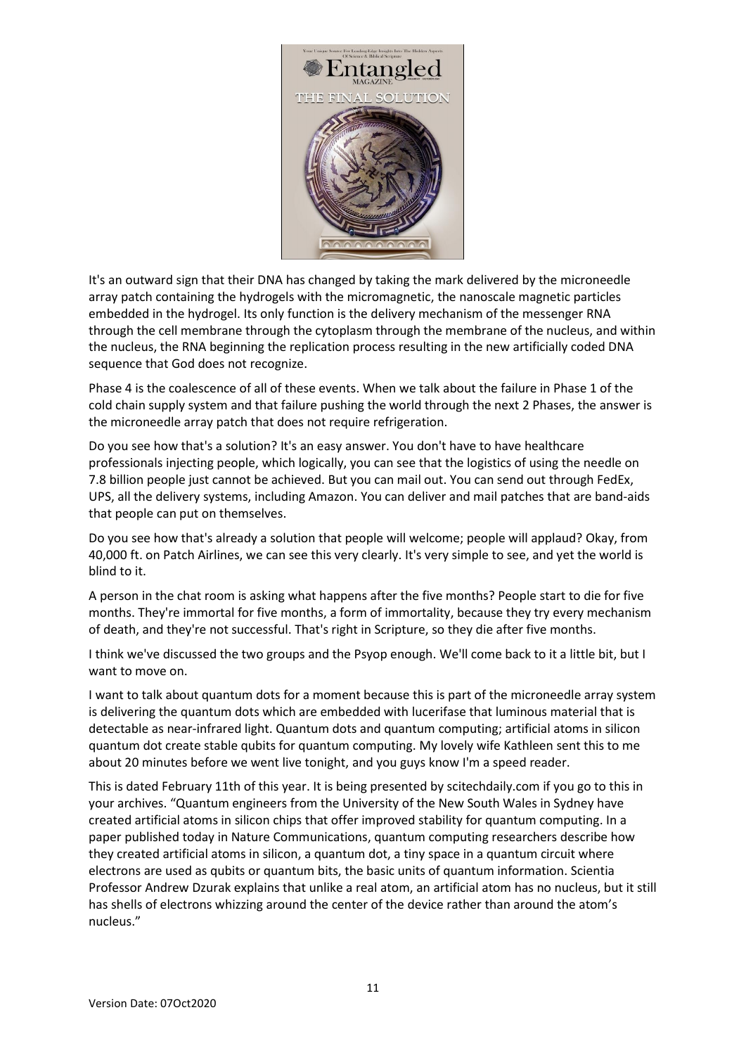

It's an outward sign that their DNA has changed by taking the mark delivered by the microneedle array patch containing the hydrogels with the micromagnetic, the nanoscale magnetic particles embedded in the hydrogel. Its only function is the delivery mechanism of the messenger RNA through the cell membrane through the cytoplasm through the membrane of the nucleus, and within the nucleus, the RNA beginning the replication process resulting in the new artificially coded DNA sequence that God does not recognize.

Phase 4 is the coalescence of all of these events. When we talk about the failure in Phase 1 of the cold chain supply system and that failure pushing the world through the next 2 Phases, the answer is the microneedle array patch that does not require refrigeration.

Do you see how that's a solution? It's an easy answer. You don't have to have healthcare professionals injecting people, which logically, you can see that the logistics of using the needle on 7.8 billion people just cannot be achieved. But you can mail out. You can send out through FedEx, UPS, all the delivery systems, including Amazon. You can deliver and mail patches that are band-aids that people can put on themselves.

Do you see how that's already a solution that people will welcome; people will applaud? Okay, from 40,000 ft. on Patch Airlines, we can see this very clearly. It's very simple to see, and yet the world is blind to it.

A person in the chat room is asking what happens after the five months? People start to die for five months. They're immortal for five months, a form of immortality, because they try every mechanism of death, and they're not successful. That's right in Scripture, so they die after five months.

I think we've discussed the two groups and the Psyop enough. We'll come back to it a little bit, but I want to move on.

I want to talk about quantum dots for a moment because this is part of the microneedle array system is delivering the quantum dots which are embedded with lucerifase that luminous material that is detectable as near-infrared light. Quantum dots and quantum computing; artificial atoms in silicon quantum dot create stable qubits for quantum computing. My lovely wife Kathleen sent this to me about 20 minutes before we went live tonight, and you guys know I'm a speed reader.

This is dated February 11th of this year. It is being presented by scitechdaily.com if you go to this in your archives. "Quantum engineers from the University of the New South Wales in Sydney have created artificial atoms in silicon chips that offer improved stability for quantum computing. In a paper published today in Nature Communications, quantum computing researchers describe how they created artificial atoms in silicon, a quantum dot, a tiny space in a quantum circuit where electrons are used as qubits or quantum bits, the basic units of quantum information. Scientia Professor Andrew Dzurak explains that unlike a real atom, an artificial atom has no nucleus, but it still has shells of electrons whizzing around the center of the device rather than around the atom's nucleus."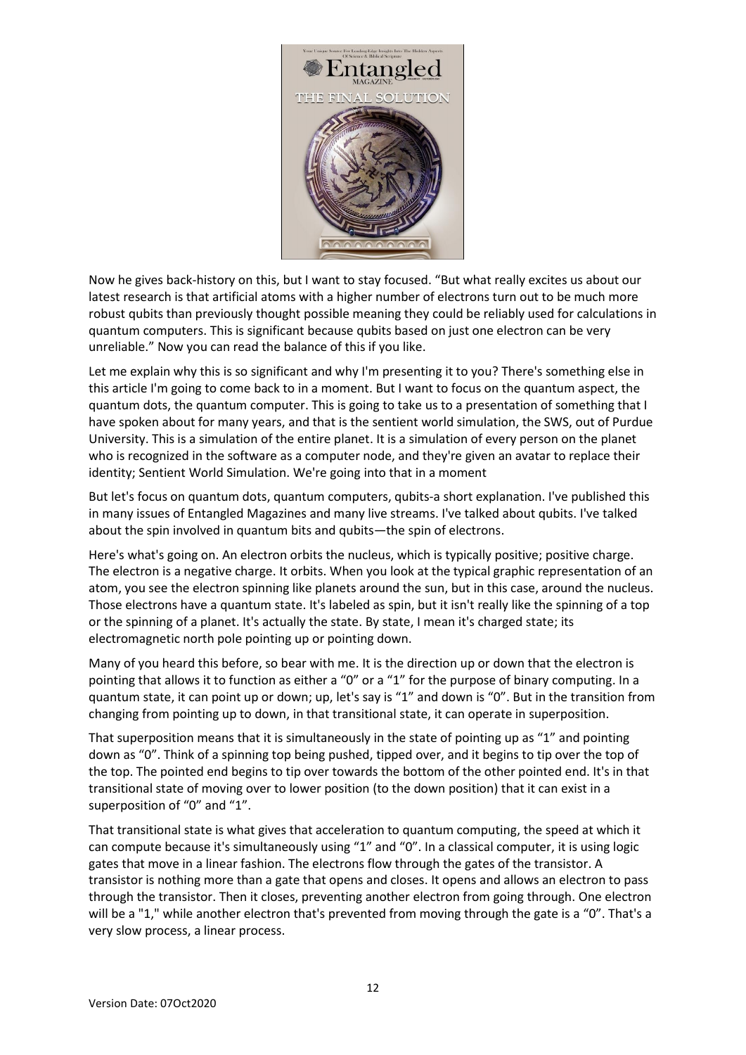

Now he gives back-history on this, but I want to stay focused. "But what really excites us about our latest research is that artificial atoms with a higher number of electrons turn out to be much more robust qubits than previously thought possible meaning they could be reliably used for calculations in quantum computers. This is significant because qubits based on just one electron can be very unreliable." Now you can read the balance of this if you like.

Let me explain why this is so significant and why I'm presenting it to you? There's something else in this article I'm going to come back to in a moment. But I want to focus on the quantum aspect, the quantum dots, the quantum computer. This is going to take us to a presentation of something that I have spoken about for many years, and that is the sentient world simulation, the SWS, out of Purdue University. This is a simulation of the entire planet. It is a simulation of every person on the planet who is recognized in the software as a computer node, and they're given an avatar to replace their identity; Sentient World Simulation. We're going into that in a moment

But let's focus on quantum dots, quantum computers, qubits-a short explanation. I've published this in many issues of Entangled Magazines and many live streams. I've talked about qubits. I've talked about the spin involved in quantum bits and qubits—the spin of electrons.

Here's what's going on. An electron orbits the nucleus, which is typically positive; positive charge. The electron is a negative charge. It orbits. When you look at the typical graphic representation of an atom, you see the electron spinning like planets around the sun, but in this case, around the nucleus. Those electrons have a quantum state. It's labeled as spin, but it isn't really like the spinning of a top or the spinning of a planet. It's actually the state. By state, I mean it's charged state; its electromagnetic north pole pointing up or pointing down.

Many of you heard this before, so bear with me. It is the direction up or down that the electron is pointing that allows it to function as either a "0" or a "1" for the purpose of binary computing. In a quantum state, it can point up or down; up, let's say is "1" and down is "0". But in the transition from changing from pointing up to down, in that transitional state, it can operate in superposition.

That superposition means that it is simultaneously in the state of pointing up as "1" and pointing down as "0". Think of a spinning top being pushed, tipped over, and it begins to tip over the top of the top. The pointed end begins to tip over towards the bottom of the other pointed end. It's in that transitional state of moving over to lower position (to the down position) that it can exist in a superposition of "0" and "1".

That transitional state is what gives that acceleration to quantum computing, the speed at which it can compute because it's simultaneously using "1" and "0". In a classical computer, it is using logic gates that move in a linear fashion. The electrons flow through the gates of the transistor. A transistor is nothing more than a gate that opens and closes. It opens and allows an electron to pass through the transistor. Then it closes, preventing another electron from going through. One electron will be a "1," while another electron that's prevented from moving through the gate is a "0". That's a very slow process, a linear process.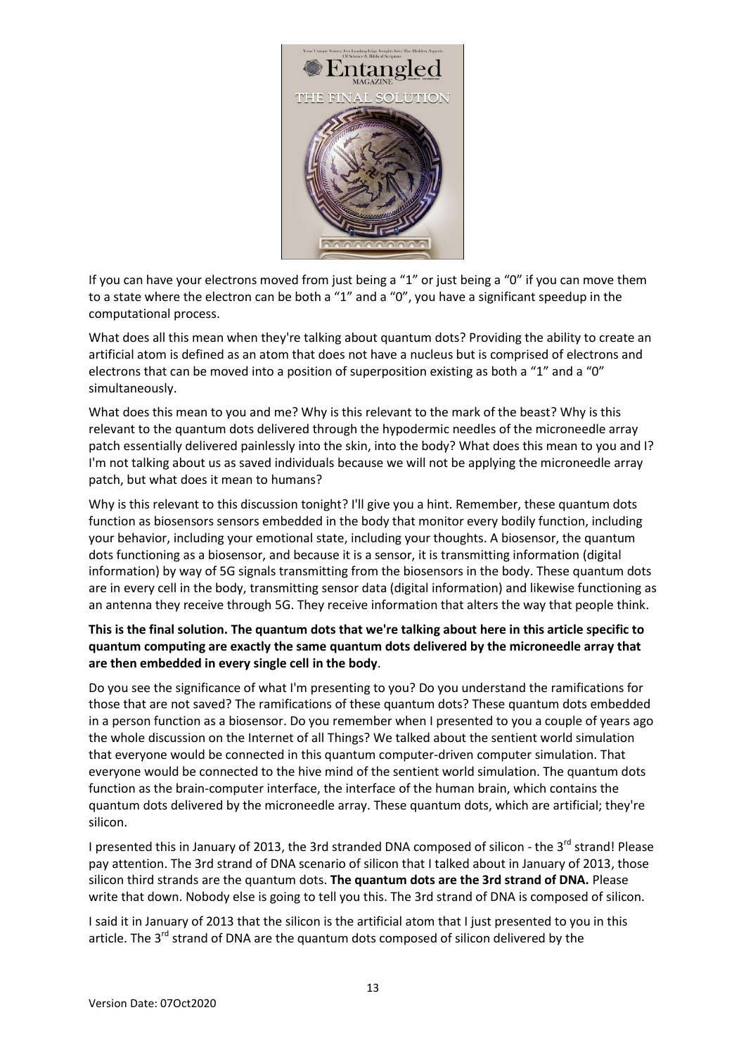

If you can have your electrons moved from just being a "1" or just being a "0" if you can move them to a state where the electron can be both a "1" and a "0", you have a significant speedup in the computational process.

What does all this mean when they're talking about quantum dots? Providing the ability to create an artificial atom is defined as an atom that does not have a nucleus but is comprised of electrons and electrons that can be moved into a position of superposition existing as both a "1" and a "0" simultaneously.

What does this mean to you and me? Why is this relevant to the mark of the beast? Why is this relevant to the quantum dots delivered through the hypodermic needles of the microneedle array patch essentially delivered painlessly into the skin, into the body? What does this mean to you and I? I'm not talking about us as saved individuals because we will not be applying the microneedle array patch, but what does it mean to humans?

Why is this relevant to this discussion tonight? I'll give you a hint. Remember, these quantum dots function as biosensors sensors embedded in the body that monitor every bodily function, including your behavior, including your emotional state, including your thoughts. A biosensor, the quantum dots functioning as a biosensor, and because it is a sensor, it is transmitting information (digital information) by way of 5G signals transmitting from the biosensors in the body. These quantum dots are in every cell in the body, transmitting sensor data (digital information) and likewise functioning as an antenna they receive through 5G. They receive information that alters the way that people think.

## **This is the final solution. The quantum dots that we're talking about here in this article specific to quantum computing are exactly the same quantum dots delivered by the microneedle array that are then embedded in every single cell in the body**.

Do you see the significance of what I'm presenting to you? Do you understand the ramifications for those that are not saved? The ramifications of these quantum dots? These quantum dots embedded in a person function as a biosensor. Do you remember when I presented to you a couple of years ago the whole discussion on the Internet of all Things? We talked about the sentient world simulation that everyone would be connected in this quantum computer-driven computer simulation. That everyone would be connected to the hive mind of the sentient world simulation. The quantum dots function as the brain-computer interface, the interface of the human brain, which contains the quantum dots delivered by the microneedle array. These quantum dots, which are artificial; they're silicon.

I presented this in January of 2013, the 3rd stranded DNA composed of silicon - the 3<sup>rd</sup> strand! Please pay attention. The 3rd strand of DNA scenario of silicon that I talked about in January of 2013, those silicon third strands are the quantum dots. **The quantum dots are the 3rd strand of DNA.** Please write that down. Nobody else is going to tell you this. The 3rd strand of DNA is composed of silicon.

I said it in January of 2013 that the silicon is the artificial atom that I just presented to you in this article. The 3<sup>rd</sup> strand of DNA are the quantum dots composed of silicon delivered by the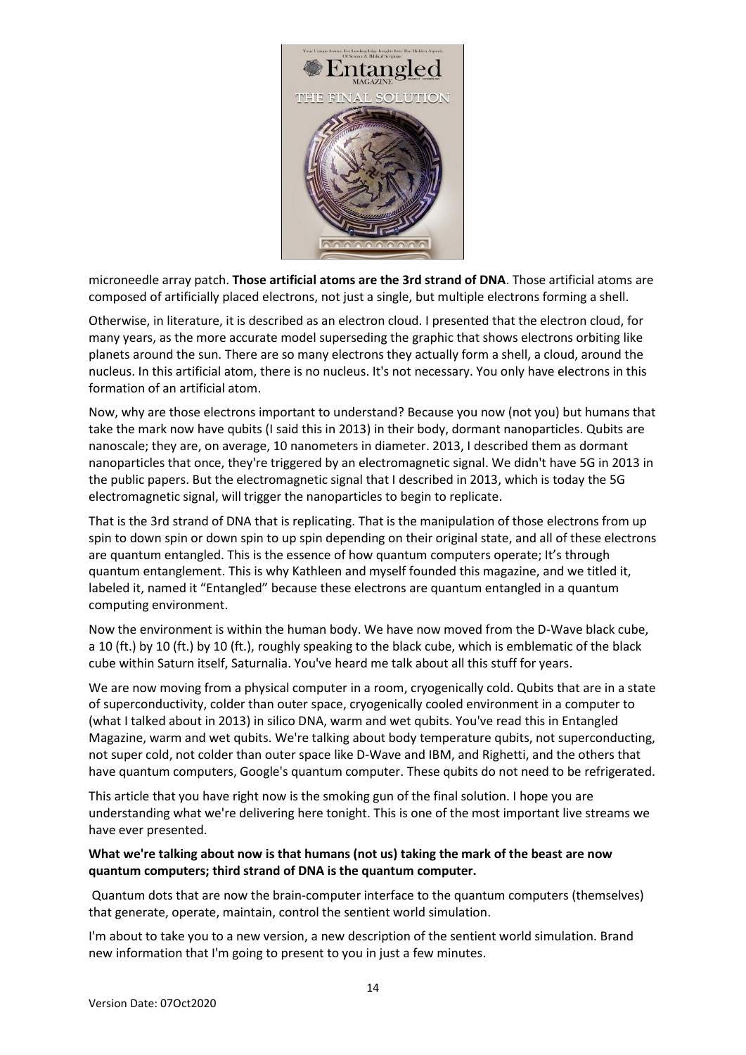

microneedle array patch. **Those artificial atoms are the 3rd strand of DNA**. Those artificial atoms are composed of artificially placed electrons, not just a single, but multiple electrons forming a shell.

Otherwise, in literature, it is described as an electron cloud. I presented that the electron cloud, for many years, as the more accurate model superseding the graphic that shows electrons orbiting like planets around the sun. There are so many electrons they actually form a shell, a cloud, around the nucleus. In this artificial atom, there is no nucleus. It's not necessary. You only have electrons in this formation of an artificial atom.

Now, why are those electrons important to understand? Because you now (not you) but humans that take the mark now have qubits (I said this in 2013) in their body, dormant nanoparticles. Qubits are nanoscale; they are, on average, 10 nanometers in diameter. 2013, I described them as dormant nanoparticles that once, they're triggered by an electromagnetic signal. We didn't have 5G in 2013 in the public papers. But the electromagnetic signal that I described in 2013, which is today the 5G electromagnetic signal, will trigger the nanoparticles to begin to replicate.

That is the 3rd strand of DNA that is replicating. That is the manipulation of those electrons from up spin to down spin or down spin to up spin depending on their original state, and all of these electrons are quantum entangled. This is the essence of how quantum computers operate; It's through quantum entanglement. This is why Kathleen and myself founded this magazine, and we titled it, labeled it, named it "Entangled" because these electrons are quantum entangled in a quantum computing environment.

Now the environment is within the human body. We have now moved from the D-Wave black cube, a 10 (ft.) by 10 (ft.) by 10 (ft.), roughly speaking to the black cube, which is emblematic of the black cube within Saturn itself, Saturnalia. You've heard me talk about all this stuff for years.

We are now moving from a physical computer in a room, cryogenically cold. Qubits that are in a state of superconductivity, colder than outer space, cryogenically cooled environment in a computer to (what I talked about in 2013) in silico DNA, warm and wet qubits. You've read this in Entangled Magazine, warm and wet qubits. We're talking about body temperature qubits, not superconducting, not super cold, not colder than outer space like D-Wave and IBM, and Righetti, and the others that have quantum computers, Google's quantum computer. These qubits do not need to be refrigerated.

This article that you have right now is the smoking gun of the final solution. I hope you are understanding what we're delivering here tonight. This is one of the most important live streams we have ever presented.

## **What we're talking about now is that humans (not us) taking the mark of the beast are now quantum computers; third strand of DNA is the quantum computer.**

Quantum dots that are now the brain-computer interface to the quantum computers (themselves) that generate, operate, maintain, control the sentient world simulation.

I'm about to take you to a new version, a new description of the sentient world simulation. Brand new information that I'm going to present to you in just a few minutes.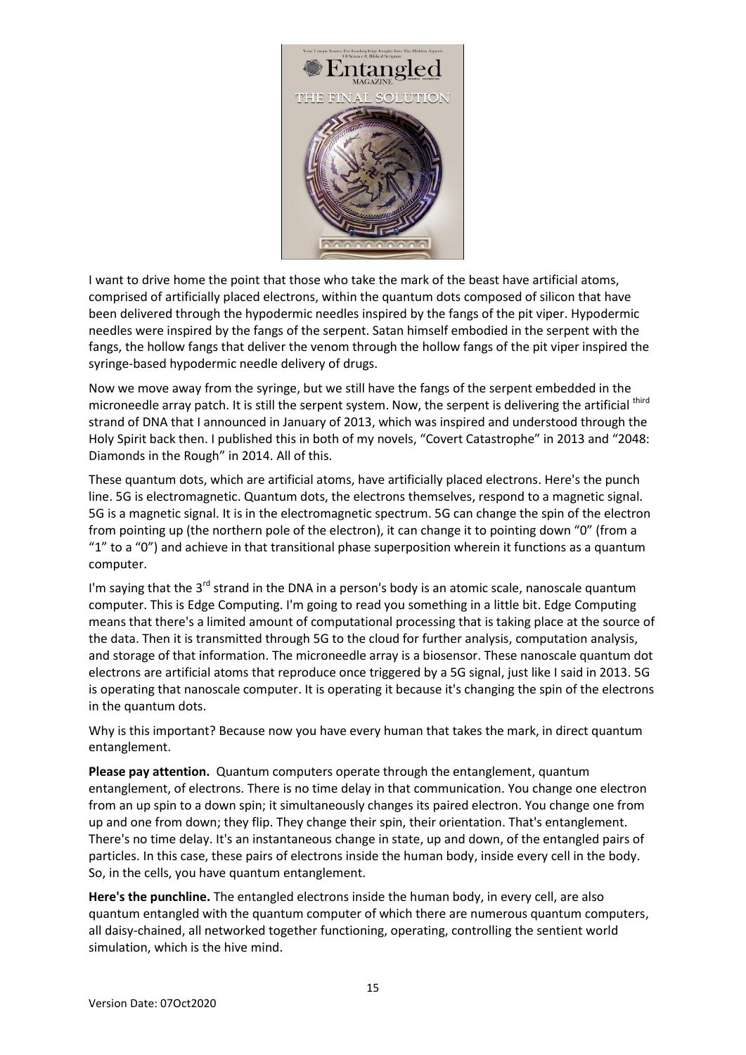

I want to drive home the point that those who take the mark of the beast have artificial atoms, comprised of artificially placed electrons, within the quantum dots composed of silicon that have been delivered through the hypodermic needles inspired by the fangs of the pit viper. Hypodermic needles were inspired by the fangs of the serpent. Satan himself embodied in the serpent with the fangs, the hollow fangs that deliver the venom through the hollow fangs of the pit viper inspired the syringe-based hypodermic needle delivery of drugs.

Now we move away from the syringe, but we still have the fangs of the serpent embedded in the microneedle array patch. It is still the serpent system. Now, the serpent is delivering the artificial third strand of DNA that I announced in January of 2013, which was inspired and understood through the Holy Spirit back then. I published this in both of my novels, "Covert Catastrophe" in 2013 and "2048: Diamonds in the Rough" in 2014. All of this.

These quantum dots, which are artificial atoms, have artificially placed electrons. Here's the punch line. 5G is electromagnetic. Quantum dots, the electrons themselves, respond to a magnetic signal. 5G is a magnetic signal. It is in the electromagnetic spectrum. 5G can change the spin of the electron from pointing up (the northern pole of the electron), it can change it to pointing down "0" (from a " $1$ " to a "0") and achieve in that transitional phase superposition wherein it functions as a quantum computer.

I'm saying that the 3<sup>rd</sup> strand in the DNA in a person's body is an atomic scale, nanoscale quantum computer. This is Edge Computing. I'm going to read you something in a little bit. Edge Computing means that there's a limited amount of computational processing that is taking place at the source of the data. Then it is transmitted through 5G to the cloud for further analysis, computation analysis, and storage of that information. The microneedle array is a biosensor. These nanoscale quantum dot electrons are artificial atoms that reproduce once triggered by a 5G signal, just like I said in 2013. 5G is operating that nanoscale computer. It is operating it because it's changing the spin of the electrons in the quantum dots.

Why is this important? Because now you have every human that takes the mark, in direct quantum entanglement.

**Please pay attention.** Quantum computers operate through the entanglement, quantum entanglement, of electrons. There is no time delay in that communication. You change one electron from an up spin to a down spin; it simultaneously changes its paired electron. You change one from up and one from down; they flip. They change their spin, their orientation. That's entanglement. There's no time delay. It's an instantaneous change in state, up and down, of the entangled pairs of particles. In this case, these pairs of electrons inside the human body, inside every cell in the body. So, in the cells, you have quantum entanglement.

**Here's the punchline.** The entangled electrons inside the human body, in every cell, are also quantum entangled with the quantum computer of which there are numerous quantum computers, all daisy-chained, all networked together functioning, operating, controlling the sentient world simulation, which is the hive mind.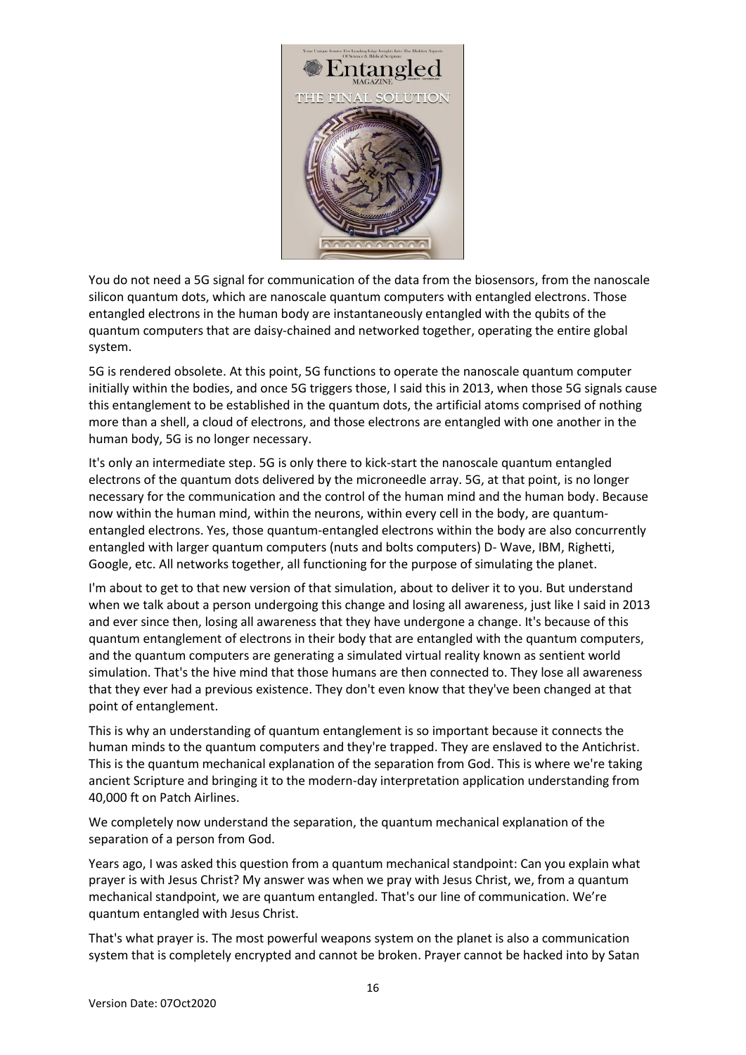

You do not need a 5G signal for communication of the data from the biosensors, from the nanoscale silicon quantum dots, which are nanoscale quantum computers with entangled electrons. Those entangled electrons in the human body are instantaneously entangled with the qubits of the quantum computers that are daisy-chained and networked together, operating the entire global system.

5G is rendered obsolete. At this point, 5G functions to operate the nanoscale quantum computer initially within the bodies, and once 5G triggers those, I said this in 2013, when those 5G signals cause this entanglement to be established in the quantum dots, the artificial atoms comprised of nothing more than a shell, a cloud of electrons, and those electrons are entangled with one another in the human body, 5G is no longer necessary.

It's only an intermediate step. 5G is only there to kick-start the nanoscale quantum entangled electrons of the quantum dots delivered by the microneedle array. 5G, at that point, is no longer necessary for the communication and the control of the human mind and the human body. Because now within the human mind, within the neurons, within every cell in the body, are quantumentangled electrons. Yes, those quantum-entangled electrons within the body are also concurrently entangled with larger quantum computers (nuts and bolts computers) D- Wave, IBM, Righetti, Google, etc. All networks together, all functioning for the purpose of simulating the planet.

I'm about to get to that new version of that simulation, about to deliver it to you. But understand when we talk about a person undergoing this change and losing all awareness, just like I said in 2013 and ever since then, losing all awareness that they have undergone a change. It's because of this quantum entanglement of electrons in their body that are entangled with the quantum computers, and the quantum computers are generating a simulated virtual reality known as sentient world simulation. That's the hive mind that those humans are then connected to. They lose all awareness that they ever had a previous existence. They don't even know that they've been changed at that point of entanglement.

This is why an understanding of quantum entanglement is so important because it connects the human minds to the quantum computers and they're trapped. They are enslaved to the Antichrist. This is the quantum mechanical explanation of the separation from God. This is where we're taking ancient Scripture and bringing it to the modern-day interpretation application understanding from 40,000 ft on Patch Airlines.

We completely now understand the separation, the quantum mechanical explanation of the separation of a person from God.

Years ago, I was asked this question from a quantum mechanical standpoint: Can you explain what prayer is with Jesus Christ? My answer was when we pray with Jesus Christ, we, from a quantum mechanical standpoint, we are quantum entangled. That's our line of communication. We're quantum entangled with Jesus Christ.

That's what prayer is. The most powerful weapons system on the planet is also a communication system that is completely encrypted and cannot be broken. Prayer cannot be hacked into by Satan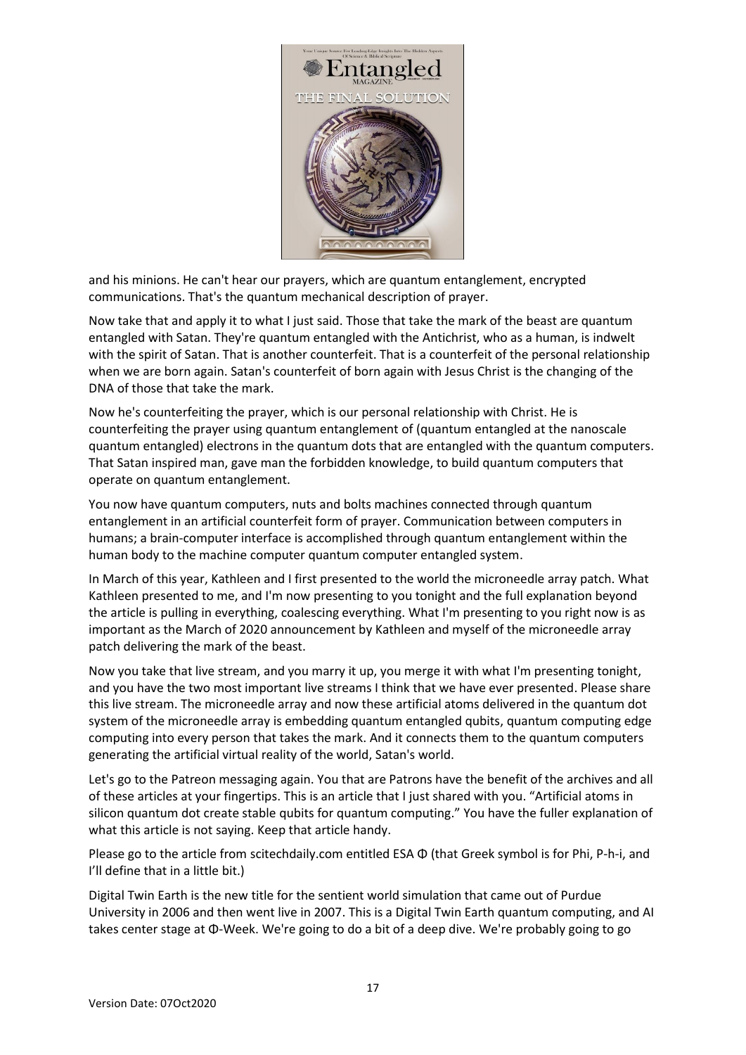

and his minions. He can't hear our prayers, which are quantum entanglement, encrypted communications. That's the quantum mechanical description of prayer.

Now take that and apply it to what I just said. Those that take the mark of the beast are quantum entangled with Satan. They're quantum entangled with the Antichrist, who as a human, is indwelt with the spirit of Satan. That is another counterfeit. That is a counterfeit of the personal relationship when we are born again. Satan's counterfeit of born again with Jesus Christ is the changing of the DNA of those that take the mark.

Now he's counterfeiting the prayer, which is our personal relationship with Christ. He is counterfeiting the prayer using quantum entanglement of (quantum entangled at the nanoscale quantum entangled) electrons in the quantum dots that are entangled with the quantum computers. That Satan inspired man, gave man the forbidden knowledge, to build quantum computers that operate on quantum entanglement.

You now have quantum computers, nuts and bolts machines connected through quantum entanglement in an artificial counterfeit form of prayer. Communication between computers in humans; a brain-computer interface is accomplished through quantum entanglement within the human body to the machine computer quantum computer entangled system.

In March of this year, Kathleen and I first presented to the world the microneedle array patch. What Kathleen presented to me, and I'm now presenting to you tonight and the full explanation beyond the article is pulling in everything, coalescing everything. What I'm presenting to you right now is as important as the March of 2020 announcement by Kathleen and myself of the microneedle array patch delivering the mark of the beast.

Now you take that live stream, and you marry it up, you merge it with what I'm presenting tonight, and you have the two most important live streams I think that we have ever presented. Please share this live stream. The microneedle array and now these artificial atoms delivered in the quantum dot system of the microneedle array is embedding quantum entangled qubits, quantum computing edge computing into every person that takes the mark. And it connects them to the quantum computers generating the artificial virtual reality of the world, Satan's world.

Let's go to the Patreon messaging again. You that are Patrons have the benefit of the archives and all of these articles at your fingertips. This is an article that I just shared with you. "Artificial atoms in silicon quantum dot create stable qubits for quantum computing." You have the fuller explanation of what this article is not saying. Keep that article handy.

Please go to the article from scitechdaily.com entitled ESA Φ (that Greek symbol is for Phi, P-h-i, and I'll define that in a little bit.)

Digital Twin Earth is the new title for the sentient world simulation that came out of Purdue University in 2006 and then went live in 2007. This is a Digital Twin Earth quantum computing, and AI takes center stage at Φ-Week. We're going to do a bit of a deep dive. We're probably going to go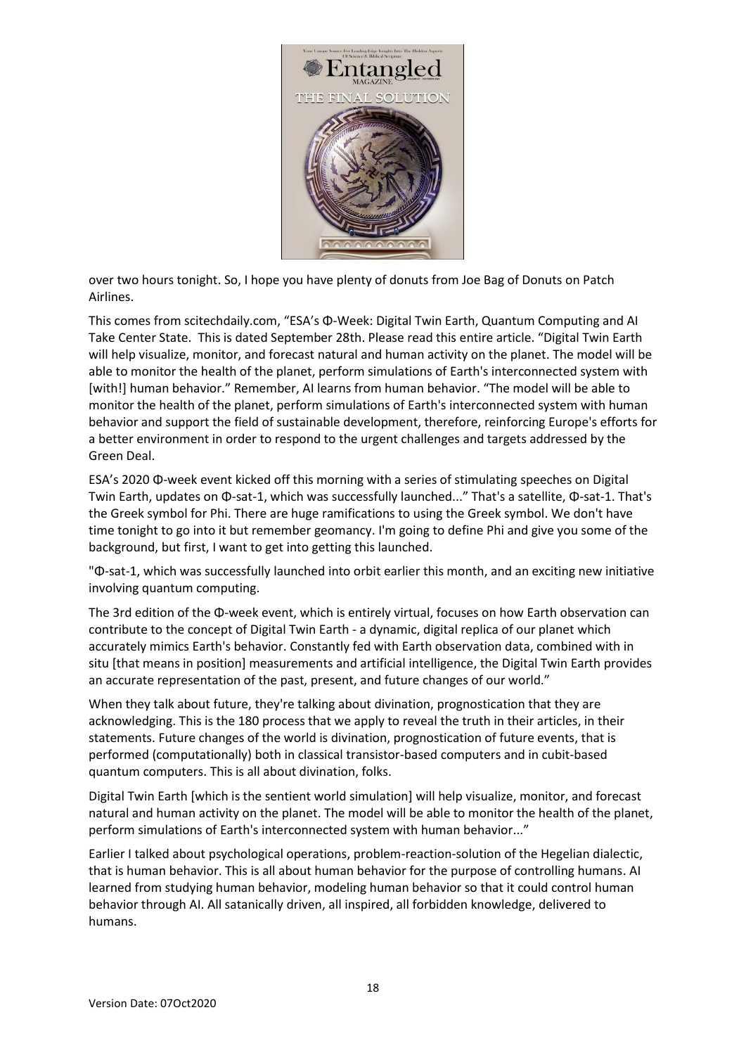

over two hours tonight. So, I hope you have plenty of donuts from Joe Bag of Donuts on Patch Airlines.

This comes from scitechdaily.com, "ESA's Φ-Week: Digital Twin Earth, Quantum Computing and AI Take Center State. This is dated September 28th. Please read this entire article. "Digital Twin Earth will help visualize, monitor, and forecast natural and human activity on the planet. The model will be able to monitor the health of the planet, perform simulations of Earth's interconnected system with [with!] human behavior." Remember, AI learns from human behavior. "The model will be able to monitor the health of the planet, perform simulations of Earth's interconnected system with human behavior and support the field of sustainable development, therefore, reinforcing Europe's efforts for a better environment in order to respond to the urgent challenges and targets addressed by the Green Deal.

ESA's 2020 Φ-week event kicked off this morning with a series of stimulating speeches on Digital Twin Earth, updates on Φ-sat-1, which was successfully launched..." That's a satellite, Φ-sat-1. That's the Greek symbol for Phi. There are huge ramifications to using the Greek symbol. We don't have time tonight to go into it but remember geomancy. I'm going to define Phi and give you some of the background, but first, I want to get into getting this launched.

"Φ-sat-1, which was successfully launched into orbit earlier this month, and an exciting new initiative involving quantum computing.

The 3rd edition of the Φ-week event, which is entirely virtual, focuses on how Earth observation can contribute to the concept of Digital Twin Earth - a dynamic, digital replica of our planet which accurately mimics Earth's behavior. Constantly fed with Earth observation data, combined with in situ [that means in position] measurements and artificial intelligence, the Digital Twin Earth provides an accurate representation of the past, present, and future changes of our world."

When they talk about future, they're talking about divination, prognostication that they are acknowledging. This is the 180 process that we apply to reveal the truth in their articles, in their statements. Future changes of the world is divination, prognostication of future events, that is performed (computationally) both in classical transistor-based computers and in cubit-based quantum computers. This is all about divination, folks.

Digital Twin Earth [which is the sentient world simulation] will help visualize, monitor, and forecast natural and human activity on the planet. The model will be able to monitor the health of the planet, perform simulations of Earth's interconnected system with human behavior..."

Earlier I talked about psychological operations, problem-reaction-solution of the Hegelian dialectic, that is human behavior. This is all about human behavior for the purpose of controlling humans. AI learned from studying human behavior, modeling human behavior so that it could control human behavior through AI. All satanically driven, all inspired, all forbidden knowledge, delivered to humans.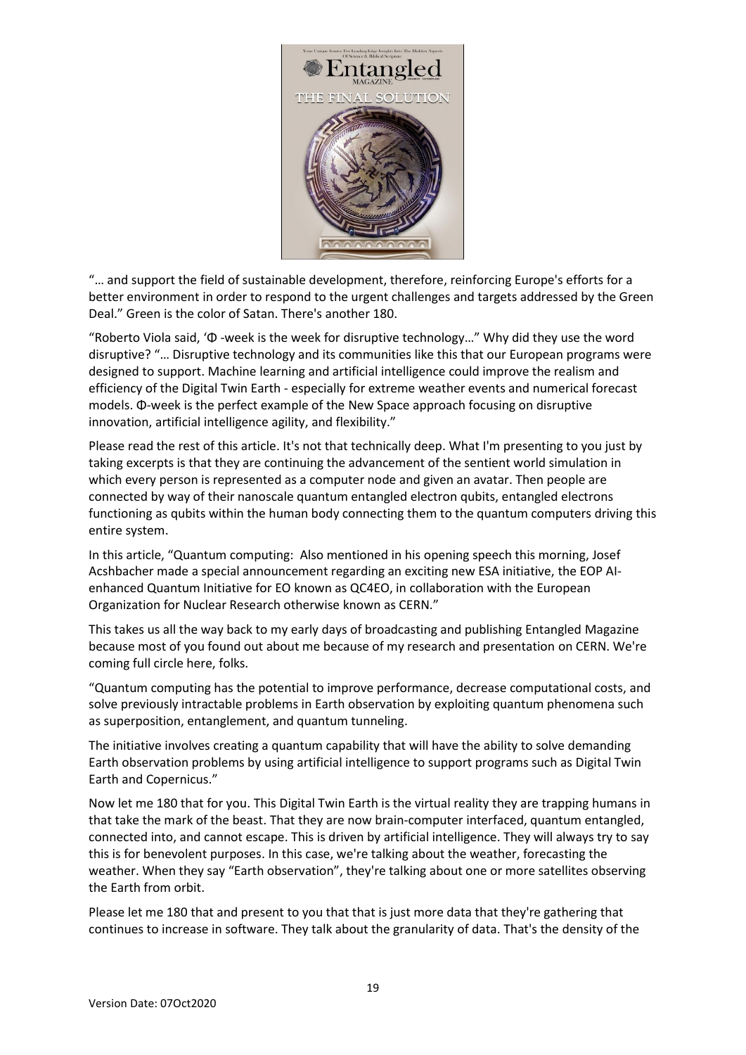

"… and support the field of sustainable development, therefore, reinforcing Europe's efforts for a better environment in order to respond to the urgent challenges and targets addressed by the Green Deal." Green is the color of Satan. There's another 180.

"Roberto Viola said, 'Φ -week is the week for disruptive technology…" Why did they use the word disruptive? "… Disruptive technology and its communities like this that our European programs were designed to support. Machine learning and artificial intelligence could improve the realism and efficiency of the Digital Twin Earth - especially for extreme weather events and numerical forecast models. Φ-week is the perfect example of the New Space approach focusing on disruptive innovation, artificial intelligence agility, and flexibility."

Please read the rest of this article. It's not that technically deep. What I'm presenting to you just by taking excerpts is that they are continuing the advancement of the sentient world simulation in which every person is represented as a computer node and given an avatar. Then people are connected by way of their nanoscale quantum entangled electron qubits, entangled electrons functioning as qubits within the human body connecting them to the quantum computers driving this entire system.

In this article, "Quantum computing: Also mentioned in his opening speech this morning, Josef Acshbacher made a special announcement regarding an exciting new ESA initiative, the EOP AIenhanced Quantum Initiative for EO known as QC4EO, in collaboration with the European Organization for Nuclear Research otherwise known as CERN."

This takes us all the way back to my early days of broadcasting and publishing Entangled Magazine because most of you found out about me because of my research and presentation on CERN. We're coming full circle here, folks.

"Quantum computing has the potential to improve performance, decrease computational costs, and solve previously intractable problems in Earth observation by exploiting quantum phenomena such as superposition, entanglement, and quantum tunneling.

The initiative involves creating a quantum capability that will have the ability to solve demanding Earth observation problems by using artificial intelligence to support programs such as Digital Twin Earth and Copernicus."

Now let me 180 that for you. This Digital Twin Earth is the virtual reality they are trapping humans in that take the mark of the beast. That they are now brain-computer interfaced, quantum entangled, connected into, and cannot escape. This is driven by artificial intelligence. They will always try to say this is for benevolent purposes. In this case, we're talking about the weather, forecasting the weather. When they say "Earth observation", they're talking about one or more satellites observing the Earth from orbit.

Please let me 180 that and present to you that that is just more data that they're gathering that continues to increase in software. They talk about the granularity of data. That's the density of the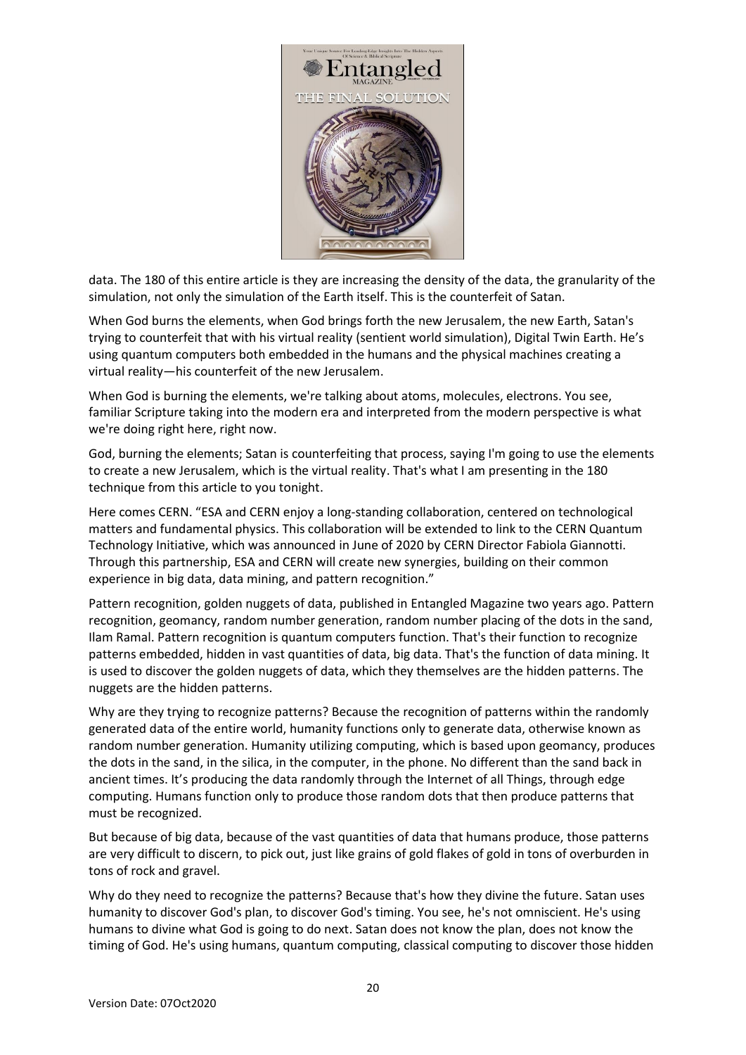

data. The 180 of this entire article is they are increasing the density of the data, the granularity of the simulation, not only the simulation of the Earth itself. This is the counterfeit of Satan.

When God burns the elements, when God brings forth the new Jerusalem, the new Earth, Satan's trying to counterfeit that with his virtual reality (sentient world simulation), Digital Twin Earth. He's using quantum computers both embedded in the humans and the physical machines creating a virtual reality—his counterfeit of the new Jerusalem.

When God is burning the elements, we're talking about atoms, molecules, electrons. You see, familiar Scripture taking into the modern era and interpreted from the modern perspective is what we're doing right here, right now.

God, burning the elements; Satan is counterfeiting that process, saying I'm going to use the elements to create a new Jerusalem, which is the virtual reality. That's what I am presenting in the 180 technique from this article to you tonight.

Here comes CERN. "ESA and CERN enjoy a long-standing collaboration, centered on technological matters and fundamental physics. This collaboration will be extended to link to the CERN Quantum Technology Initiative, which was announced in June of 2020 by CERN Director Fabiola Giannotti. Through this partnership, ESA and CERN will create new synergies, building on their common experience in big data, data mining, and pattern recognition."

Pattern recognition, golden nuggets of data, published in Entangled Magazine two years ago. Pattern recognition, geomancy, random number generation, random number placing of the dots in the sand, Ilam Ramal. Pattern recognition is quantum computers function. That's their function to recognize patterns embedded, hidden in vast quantities of data, big data. That's the function of data mining. It is used to discover the golden nuggets of data, which they themselves are the hidden patterns. The nuggets are the hidden patterns.

Why are they trying to recognize patterns? Because the recognition of patterns within the randomly generated data of the entire world, humanity functions only to generate data, otherwise known as random number generation. Humanity utilizing computing, which is based upon geomancy, produces the dots in the sand, in the silica, in the computer, in the phone. No different than the sand back in ancient times. It's producing the data randomly through the Internet of all Things, through edge computing. Humans function only to produce those random dots that then produce patterns that must be recognized.

But because of big data, because of the vast quantities of data that humans produce, those patterns are very difficult to discern, to pick out, just like grains of gold flakes of gold in tons of overburden in tons of rock and gravel.

Why do they need to recognize the patterns? Because that's how they divine the future. Satan uses humanity to discover God's plan, to discover God's timing. You see, he's not omniscient. He's using humans to divine what God is going to do next. Satan does not know the plan, does not know the timing of God. He's using humans, quantum computing, classical computing to discover those hidden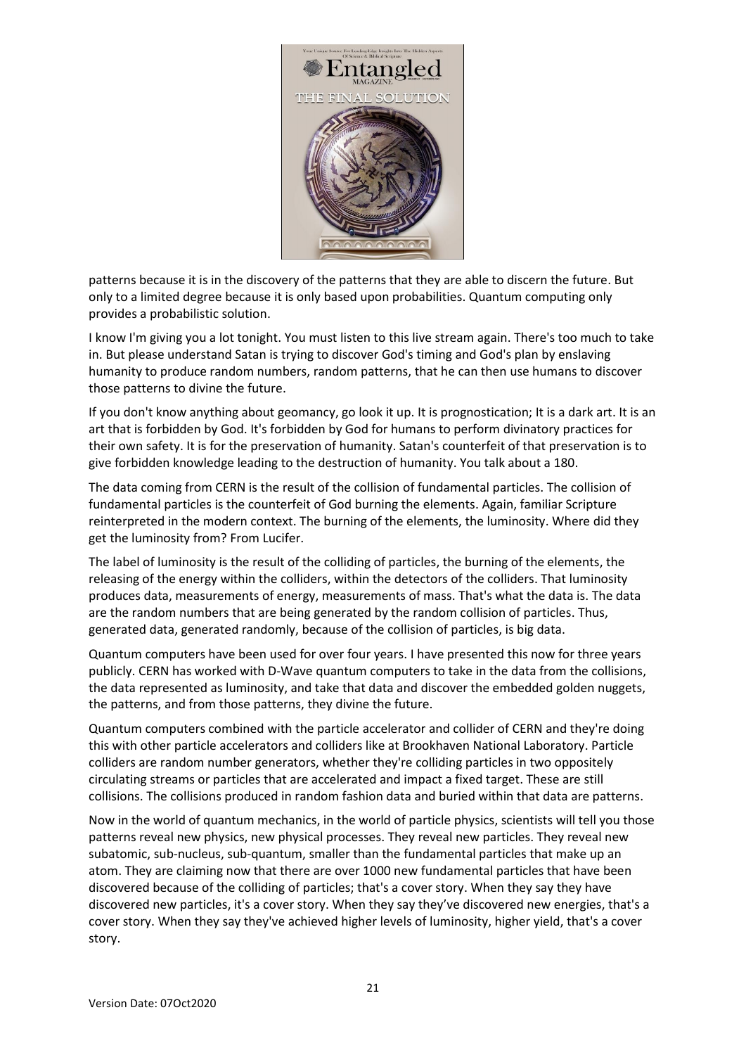

patterns because it is in the discovery of the patterns that they are able to discern the future. But only to a limited degree because it is only based upon probabilities. Quantum computing only provides a probabilistic solution.

I know I'm giving you a lot tonight. You must listen to this live stream again. There's too much to take in. But please understand Satan is trying to discover God's timing and God's plan by enslaving humanity to produce random numbers, random patterns, that he can then use humans to discover those patterns to divine the future.

If you don't know anything about geomancy, go look it up. It is prognostication; It is a dark art. It is an art that is forbidden by God. It's forbidden by God for humans to perform divinatory practices for their own safety. It is for the preservation of humanity. Satan's counterfeit of that preservation is to give forbidden knowledge leading to the destruction of humanity. You talk about a 180.

The data coming from CERN is the result of the collision of fundamental particles. The collision of fundamental particles is the counterfeit of God burning the elements. Again, familiar Scripture reinterpreted in the modern context. The burning of the elements, the luminosity. Where did they get the luminosity from? From Lucifer.

The label of luminosity is the result of the colliding of particles, the burning of the elements, the releasing of the energy within the colliders, within the detectors of the colliders. That luminosity produces data, measurements of energy, measurements of mass. That's what the data is. The data are the random numbers that are being generated by the random collision of particles. Thus, generated data, generated randomly, because of the collision of particles, is big data.

Quantum computers have been used for over four years. I have presented this now for three years publicly. CERN has worked with D-Wave quantum computers to take in the data from the collisions, the data represented as luminosity, and take that data and discover the embedded golden nuggets, the patterns, and from those patterns, they divine the future.

Quantum computers combined with the particle accelerator and collider of CERN and they're doing this with other particle accelerators and colliders like at Brookhaven National Laboratory. Particle colliders are random number generators, whether they're colliding particles in two oppositely circulating streams or particles that are accelerated and impact a fixed target. These are still collisions. The collisions produced in random fashion data and buried within that data are patterns.

Now in the world of quantum mechanics, in the world of particle physics, scientists will tell you those patterns reveal new physics, new physical processes. They reveal new particles. They reveal new subatomic, sub-nucleus, sub-quantum, smaller than the fundamental particles that make up an atom. They are claiming now that there are over 1000 new fundamental particles that have been discovered because of the colliding of particles; that's a cover story. When they say they have discovered new particles, it's a cover story. When they say they've discovered new energies, that's a cover story. When they say they've achieved higher levels of luminosity, higher yield, that's a cover story.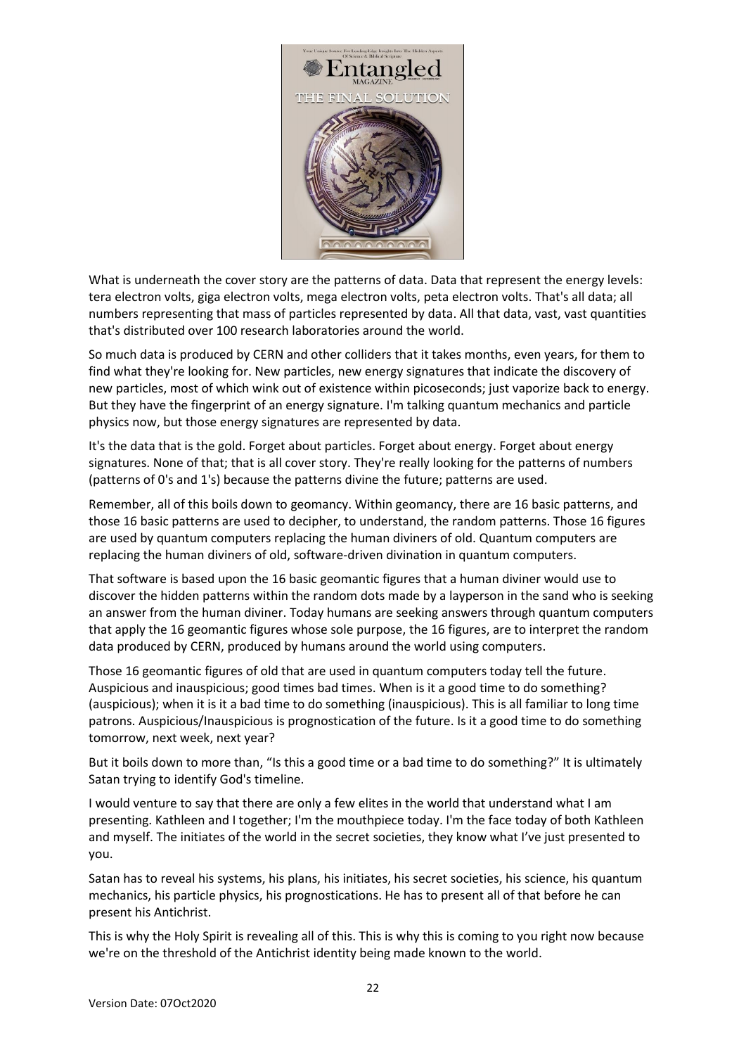

What is underneath the cover story are the patterns of data. Data that represent the energy levels: tera electron volts, giga electron volts, mega electron volts, peta electron volts. That's all data; all numbers representing that mass of particles represented by data. All that data, vast, vast quantities that's distributed over 100 research laboratories around the world.

So much data is produced by CERN and other colliders that it takes months, even years, for them to find what they're looking for. New particles, new energy signatures that indicate the discovery of new particles, most of which wink out of existence within picoseconds; just vaporize back to energy. But they have the fingerprint of an energy signature. I'm talking quantum mechanics and particle physics now, but those energy signatures are represented by data.

It's the data that is the gold. Forget about particles. Forget about energy. Forget about energy signatures. None of that; that is all cover story. They're really looking for the patterns of numbers (patterns of 0's and 1's) because the patterns divine the future; patterns are used.

Remember, all of this boils down to geomancy. Within geomancy, there are 16 basic patterns, and those 16 basic patterns are used to decipher, to understand, the random patterns. Those 16 figures are used by quantum computers replacing the human diviners of old. Quantum computers are replacing the human diviners of old, software-driven divination in quantum computers.

That software is based upon the 16 basic geomantic figures that a human diviner would use to discover the hidden patterns within the random dots made by a layperson in the sand who is seeking an answer from the human diviner. Today humans are seeking answers through quantum computers that apply the 16 geomantic figures whose sole purpose, the 16 figures, are to interpret the random data produced by CERN, produced by humans around the world using computers.

Those 16 geomantic figures of old that are used in quantum computers today tell the future. Auspicious and inauspicious; good times bad times. When is it a good time to do something? (auspicious); when it is it a bad time to do something (inauspicious). This is all familiar to long time patrons. Auspicious/Inauspicious is prognostication of the future. Is it a good time to do something tomorrow, next week, next year?

But it boils down to more than, "Is this a good time or a bad time to do something?" It is ultimately Satan trying to identify God's timeline.

I would venture to say that there are only a few elites in the world that understand what I am presenting. Kathleen and I together; I'm the mouthpiece today. I'm the face today of both Kathleen and myself. The initiates of the world in the secret societies, they know what I've just presented to you.

Satan has to reveal his systems, his plans, his initiates, his secret societies, his science, his quantum mechanics, his particle physics, his prognostications. He has to present all of that before he can present his Antichrist.

This is why the Holy Spirit is revealing all of this. This is why this is coming to you right now because we're on the threshold of the Antichrist identity being made known to the world.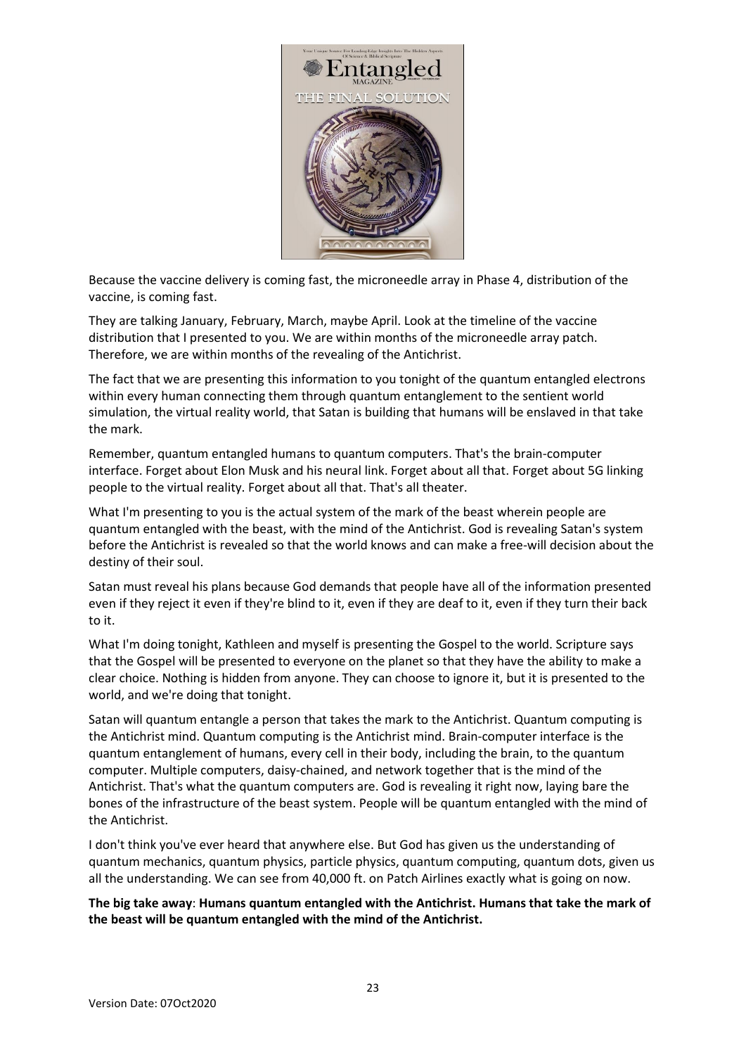

Because the vaccine delivery is coming fast, the microneedle array in Phase 4, distribution of the vaccine, is coming fast.

They are talking January, February, March, maybe April. Look at the timeline of the vaccine distribution that I presented to you. We are within months of the microneedle array patch. Therefore, we are within months of the revealing of the Antichrist.

The fact that we are presenting this information to you tonight of the quantum entangled electrons within every human connecting them through quantum entanglement to the sentient world simulation, the virtual reality world, that Satan is building that humans will be enslaved in that take the mark.

Remember, quantum entangled humans to quantum computers. That's the brain-computer interface. Forget about Elon Musk and his neural link. Forget about all that. Forget about 5G linking people to the virtual reality. Forget about all that. That's all theater.

What I'm presenting to you is the actual system of the mark of the beast wherein people are quantum entangled with the beast, with the mind of the Antichrist. God is revealing Satan's system before the Antichrist is revealed so that the world knows and can make a free-will decision about the destiny of their soul.

Satan must reveal his plans because God demands that people have all of the information presented even if they reject it even if they're blind to it, even if they are deaf to it, even if they turn their back to it.

What I'm doing tonight, Kathleen and myself is presenting the Gospel to the world. Scripture says that the Gospel will be presented to everyone on the planet so that they have the ability to make a clear choice. Nothing is hidden from anyone. They can choose to ignore it, but it is presented to the world, and we're doing that tonight.

Satan will quantum entangle a person that takes the mark to the Antichrist. Quantum computing is the Antichrist mind. Quantum computing is the Antichrist mind. Brain-computer interface is the quantum entanglement of humans, every cell in their body, including the brain, to the quantum computer. Multiple computers, daisy-chained, and network together that is the mind of the Antichrist. That's what the quantum computers are. God is revealing it right now, laying bare the bones of the infrastructure of the beast system. People will be quantum entangled with the mind of the Antichrist.

I don't think you've ever heard that anywhere else. But God has given us the understanding of quantum mechanics, quantum physics, particle physics, quantum computing, quantum dots, given us all the understanding. We can see from 40,000 ft. on Patch Airlines exactly what is going on now.

**The big take away**: **Humans quantum entangled with the Antichrist. Humans that take the mark of the beast will be quantum entangled with the mind of the Antichrist.**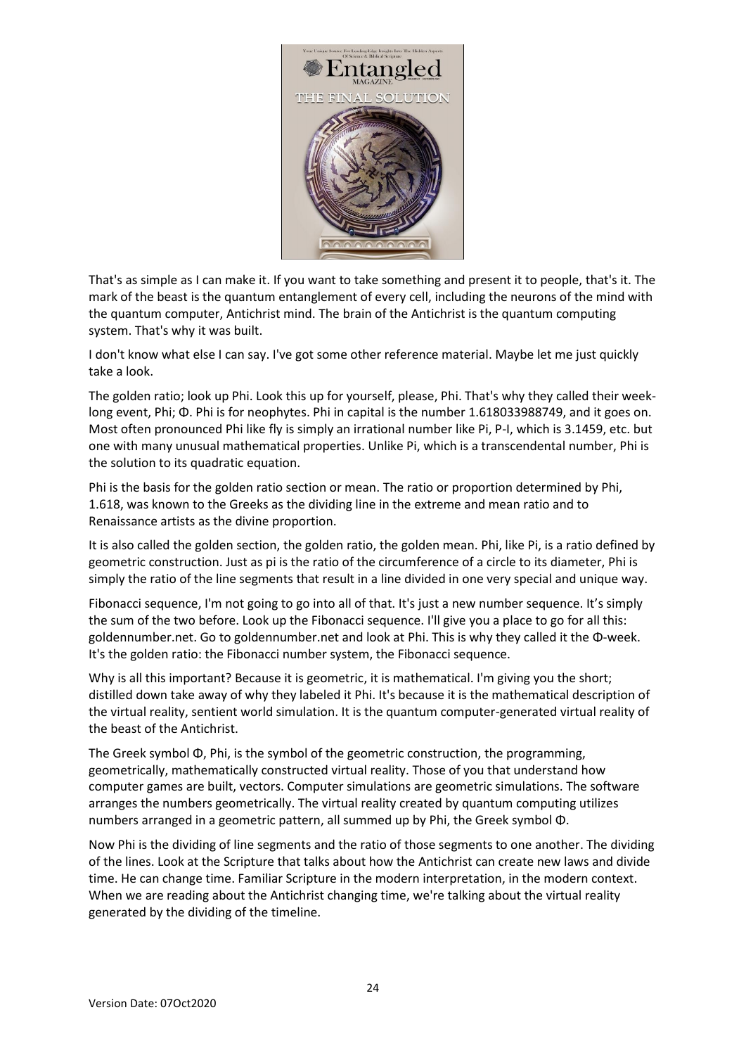

That's as simple as I can make it. If you want to take something and present it to people, that's it. The mark of the beast is the quantum entanglement of every cell, including the neurons of the mind with the quantum computer, Antichrist mind. The brain of the Antichrist is the quantum computing system. That's why it was built.

I don't know what else I can say. I've got some other reference material. Maybe let me just quickly take a look.

The golden ratio; look up Phi. Look this up for yourself, please, Phi. That's why they called their weeklong event, Phi; Φ. Phi is for neophytes. Phi in capital is the number 1.618033988749, and it goes on. Most often pronounced Phi like fly is simply an irrational number like Pi, P-I, which is 3.1459, etc. but one with many unusual mathematical properties. Unlike Pi, which is a transcendental number, Phi is the solution to its quadratic equation.

Phi is the basis for the golden ratio section or mean. The ratio or proportion determined by Phi, 1.618, was known to the Greeks as the dividing line in the extreme and mean ratio and to Renaissance artists as the divine proportion.

It is also called the golden section, the golden ratio, the golden mean. Phi, like Pi, is a ratio defined by geometric construction. Just as pi is the ratio of the circumference of a circle to its diameter, Phi is simply the ratio of the line segments that result in a line divided in one very special and unique way.

Fibonacci sequence, I'm not going to go into all of that. It's just a new number sequence. It's simply the sum of the two before. Look up the Fibonacci sequence. I'll give you a place to go for all this: goldennumber.net. Go to goldennumber.net and look at Phi. This is why they called it the Φ-week. It's the golden ratio: the Fibonacci number system, the Fibonacci sequence.

Why is all this important? Because it is geometric, it is mathematical. I'm giving you the short; distilled down take away of why they labeled it Phi. It's because it is the mathematical description of the virtual reality, sentient world simulation. It is the quantum computer-generated virtual reality of the beast of the Antichrist.

The Greek symbol Φ, Phi, is the symbol of the geometric construction, the programming, geometrically, mathematically constructed virtual reality. Those of you that understand how computer games are built, vectors. Computer simulations are geometric simulations. The software arranges the numbers geometrically. The virtual reality created by quantum computing utilizes numbers arranged in a geometric pattern, all summed up by Phi, the Greek symbol Φ.

Now Phi is the dividing of line segments and the ratio of those segments to one another. The dividing of the lines. Look at the Scripture that talks about how the Antichrist can create new laws and divide time. He can change time. Familiar Scripture in the modern interpretation, in the modern context. When we are reading about the Antichrist changing time, we're talking about the virtual reality generated by the dividing of the timeline.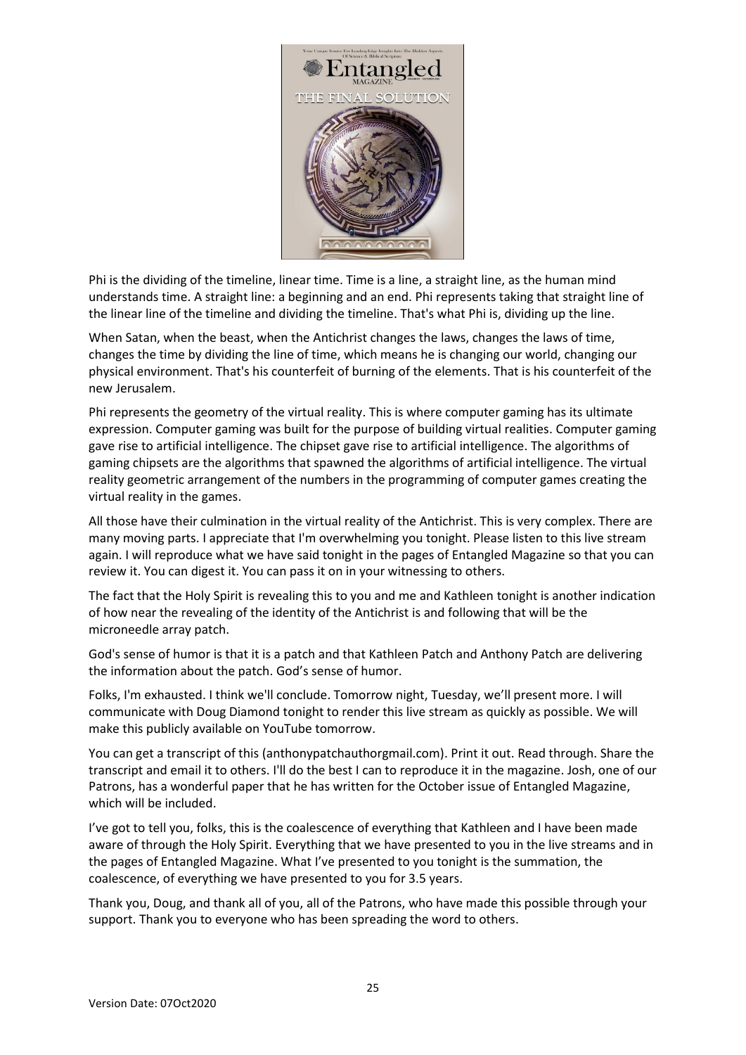

Phi is the dividing of the timeline, linear time. Time is a line, a straight line, as the human mind understands time. A straight line: a beginning and an end. Phi represents taking that straight line of the linear line of the timeline and dividing the timeline. That's what Phi is, dividing up the line.

When Satan, when the beast, when the Antichrist changes the laws, changes the laws of time, changes the time by dividing the line of time, which means he is changing our world, changing our physical environment. That's his counterfeit of burning of the elements. That is his counterfeit of the new Jerusalem.

Phi represents the geometry of the virtual reality. This is where computer gaming has its ultimate expression. Computer gaming was built for the purpose of building virtual realities. Computer gaming gave rise to artificial intelligence. The chipset gave rise to artificial intelligence. The algorithms of gaming chipsets are the algorithms that spawned the algorithms of artificial intelligence. The virtual reality geometric arrangement of the numbers in the programming of computer games creating the virtual reality in the games.

All those have their culmination in the virtual reality of the Antichrist. This is very complex. There are many moving parts. I appreciate that I'm overwhelming you tonight. Please listen to this live stream again. I will reproduce what we have said tonight in the pages of Entangled Magazine so that you can review it. You can digest it. You can pass it on in your witnessing to others.

The fact that the Holy Spirit is revealing this to you and me and Kathleen tonight is another indication of how near the revealing of the identity of the Antichrist is and following that will be the microneedle array patch.

God's sense of humor is that it is a patch and that Kathleen Patch and Anthony Patch are delivering the information about the patch. God's sense of humor.

Folks, I'm exhausted. I think we'll conclude. Tomorrow night, Tuesday, we'll present more. I will communicate with Doug Diamond tonight to render this live stream as quickly as possible. We will make this publicly available on YouTube tomorrow.

You can get a transcript of this (anthonypatchauthorgmail.com). Print it out. Read through. Share the transcript and email it to others. I'll do the best I can to reproduce it in the magazine. Josh, one of our Patrons, has a wonderful paper that he has written for the October issue of Entangled Magazine, which will be included.

I've got to tell you, folks, this is the coalescence of everything that Kathleen and I have been made aware of through the Holy Spirit. Everything that we have presented to you in the live streams and in the pages of Entangled Magazine. What I've presented to you tonight is the summation, the coalescence, of everything we have presented to you for 3.5 years.

Thank you, Doug, and thank all of you, all of the Patrons, who have made this possible through your support. Thank you to everyone who has been spreading the word to others.